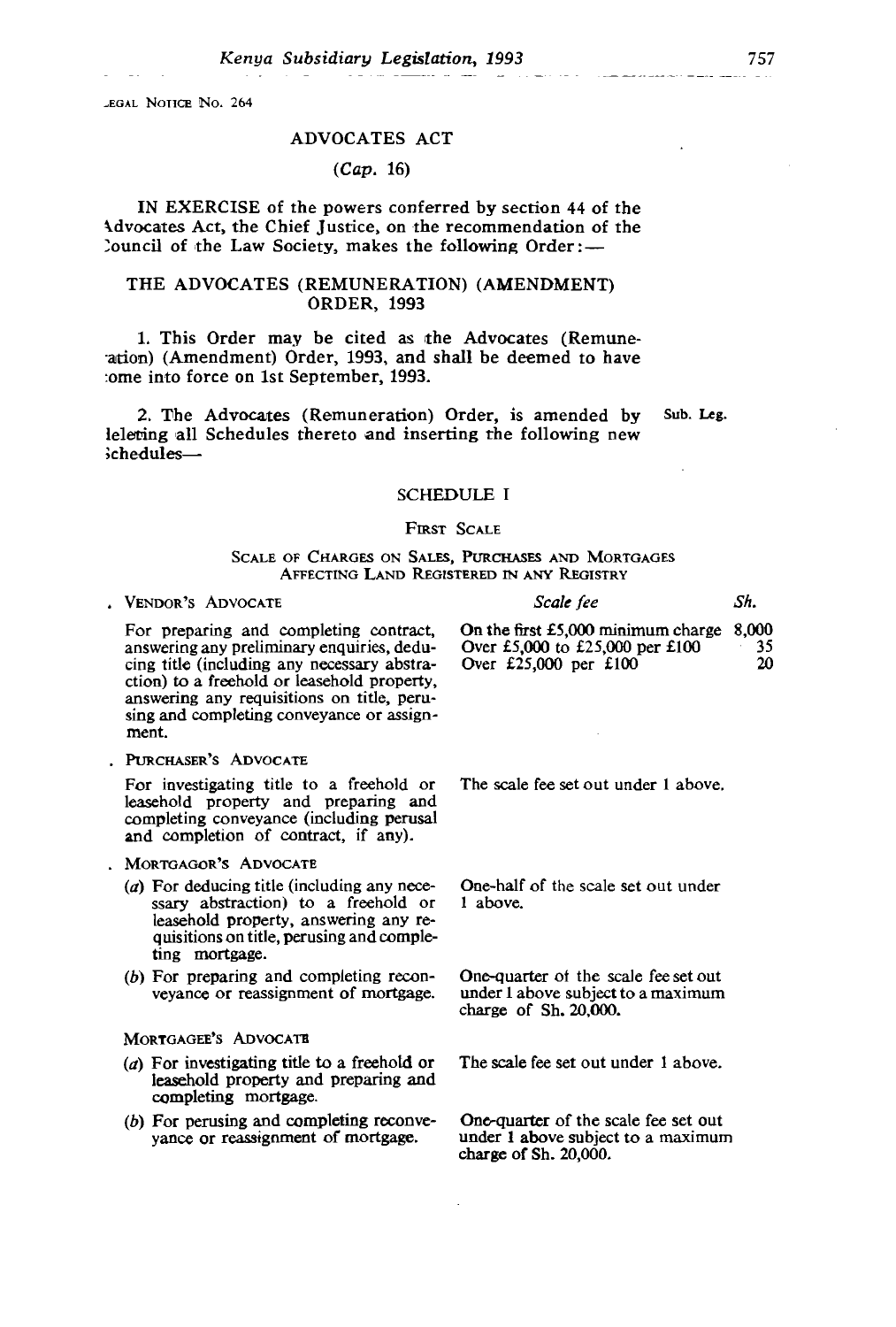$\mathbb{N}_0$ . 264

# ORDER, 1993

### $1.7 \text{ A}^\circ$  $(Cap. 16)$

IN EXERCISE of the powers conferred by section 44 of the Advocates Act, the Chief Justice, on the recommendation of the louncil of the Law Society, makes the following  $Order:$ 

#### THE ADVOCATES (REMUNERATION) (AMENDMENT) **ORDER, 1993**

1. This Order may be cited as the Advocates (Remune-ation) (Amendment) Order, 1993, and shall be deemed to have tome into force on 1st September, 1993.

**Exercise Advocates (Remuneration) Order, is amended by** Ieleting all Schedules thereto and inserting the following new  $\delta$ chedules—  $\sum_{i=1}^{n}$ Over £5,000 to £25,000 per £100

Sub. Leg.

#### cing title (including any necessary abstrache freehold or lease hold property,  $\mathcal{L}$

#### answering any requisitions on title, perusing and completing conveyance or assigned to the conveyance of  $\Gamma$

# AFFECTING LAND REGISTERED IN ANY REGISTRY

| VENDOR'S ADVOCATE                      | Scale fee                                    | Sh. |
|----------------------------------------|----------------------------------------------|-----|
| For preparing and completing contract, | On the first $£5,000$ minimum charge $8,000$ |     |

paring and completing contract,  $\theta$  in the answering any preliminary enquiries, dedu-<br>cing title (including any necessary abstra-<br>Over £25,000 per £100 ction) to a freehold or leasehold property, answering any requisitions on title, perusing and completing conveyance or assignment.

. PURCHASER'S ADVOCATE

For investigating title to a freehold or leasehold property and preparing and completing conveyance (including perusal and completion of contract, if any).

- . MORTGAGOR'S ADVOCATE
	- ( $a$ ) For deducing title (including any necessary abstraction) to a freehold or 1 above. leasehold property, answering any requisitions on title, perusing and comple-<br>ting mortgage.
	- $(b)$  For preparing and completing reconveyance or reassignment of mortgage.

#### MORTGAGEE'S ADVOCATE

- (a) For investigating title to a freehold or leasehold property and preparing and completing mortgage.
- (b) For perusing and completing reconvevance or reassignment of mortgage.

The scale fee set out under 1 above.

One-half of the scale set out under

One-quarter of the scale fee set out under 1 above subject to a maximum charge of Sh. 20,000.

The scale fee set out under 1 above.

One-quarter of the scale fee set out under 1 above subject to a maximum charge of Sh.  $20,000$ .

35 2Ω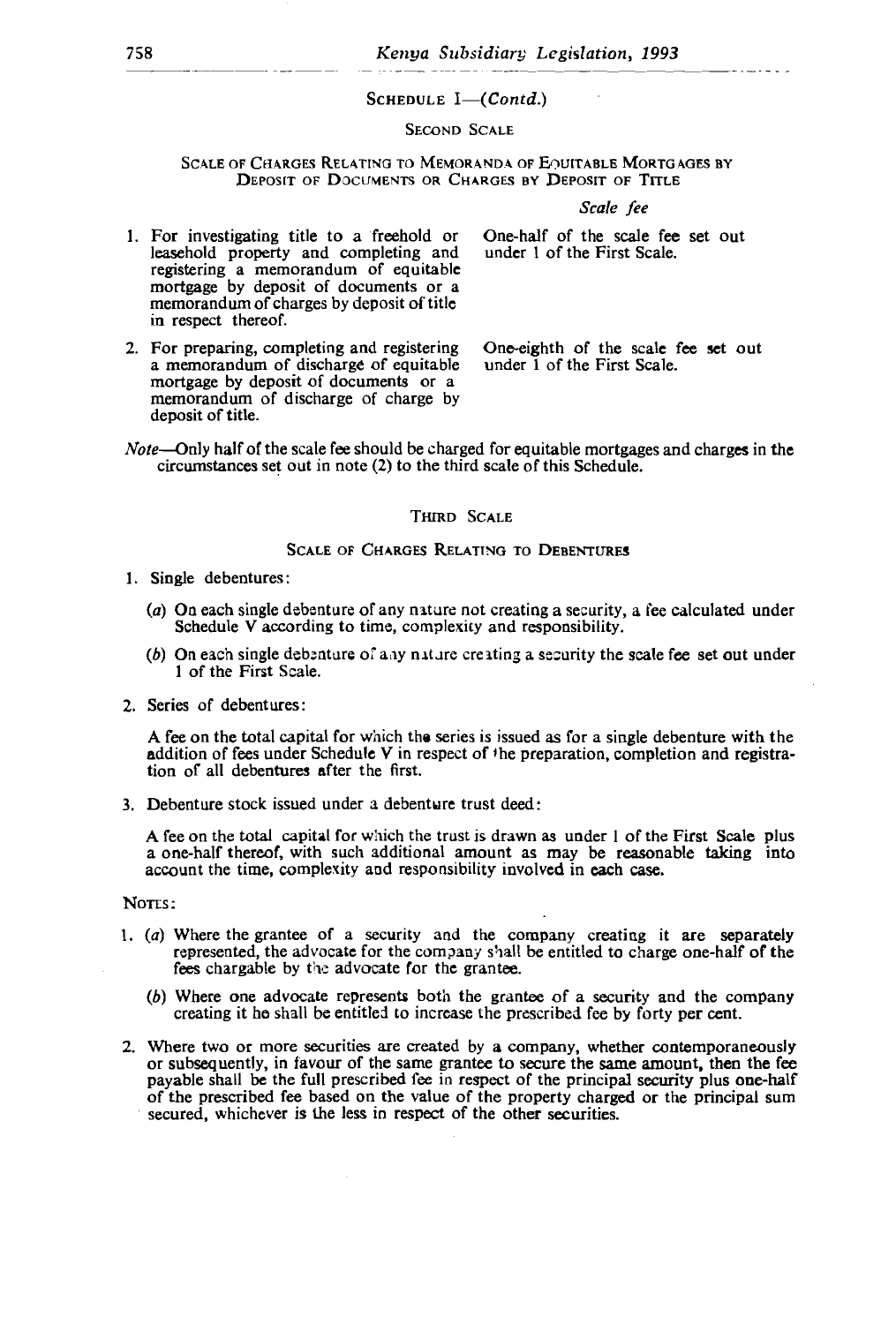## registering a memorandum of equitable SCHEDULE 1—(CON)<br>Second Scale

SCALE OF CHARGES RELATING TO MEMORANDA OF EQUITABLE MORTGAGES BY CALE OF CHARGES RELATING TO MEMORANDA OF EQUITABLE MORTGAGES BY<br>Deposit of Documents or Charges by Deposit of Title

Scale fee

under 1 of the First Scale.

under 1 of the First Scale.

- 1. For investigating title to a freehold or leasehold property and completing and registering a memorandum of equitable mortgage by deposit of documents or a memorandum of charges by deposit of title. in respect thereof.
- 2. For preparing, completing and registering a memorandum of discharge of equitable under 1 of the First Scale.<br>mortgage by deposit of documents or a memorandum of discharge of charge by deposit of title. (a) On each single debenture of any nature not creating a security, a fee calculated under

One-eighth of the scale fee set out

Note-Only half of the scale fee should be charged for equitable mortgages and charges in the circumstances set out in note (2) to the third scale of this Schedule.

#### THIRD SCALE

#### SCALE OF CHARGES RELATING TO DEBENTURES

- $\alpha$  in respect of  $\alpha$  in respect of  $\alpha$  in registra- $\alpha$  in registra- $\frac{1}{\sqrt{2}}$ 
	- ( $a$ ) On each single debenture of any nature not creating a security, a fee calculated under Schedule V according to time, complexity and responsibility.
	- (b) On each single debenture of any nature creating a security the scale fee set out under 1 of the First Scale.
- 

A fee on the total capital for which the series is issued as for a single debenture with the addition of fees under Schedule V in respect of the preparation, completion and registration of all debentures after the first.

3. Debenture stock issued under a debenture trust deed: (b) Stock issued and a described these deed.

A fee on the total capital for which the trust is drawn as under 1 of the First Scale plus a one-half thereof, with such additional amount as may be reasonable taking into account the time, complexity and responsibility involved in each case.

of the prescribed fee based on the value of the property charged or the property charged or the principal sum

NOTES:

- 1.  $(a)$  Where the grantee of a security and the company creating it are separately represented, the advocate for the company shall be entitled to charge one-half of the fees chargable by the advocate for the grantee.
	- (b) Where one advocate represents both the grantee of a security and the company creating it he shall be entitled to increase the prescribed fee by forty per cent.
- 2. Where two or more securities are created by a company, whether contemporaneously or subsequently, in favour of the same grantee to secure the same amount, then the fee payable shall be the full prescribed fee in respect of the principal security plus one-half of the prescribed fee based on the value of the property charged or the principal sum secured, whichever is the less in respect of the other securities.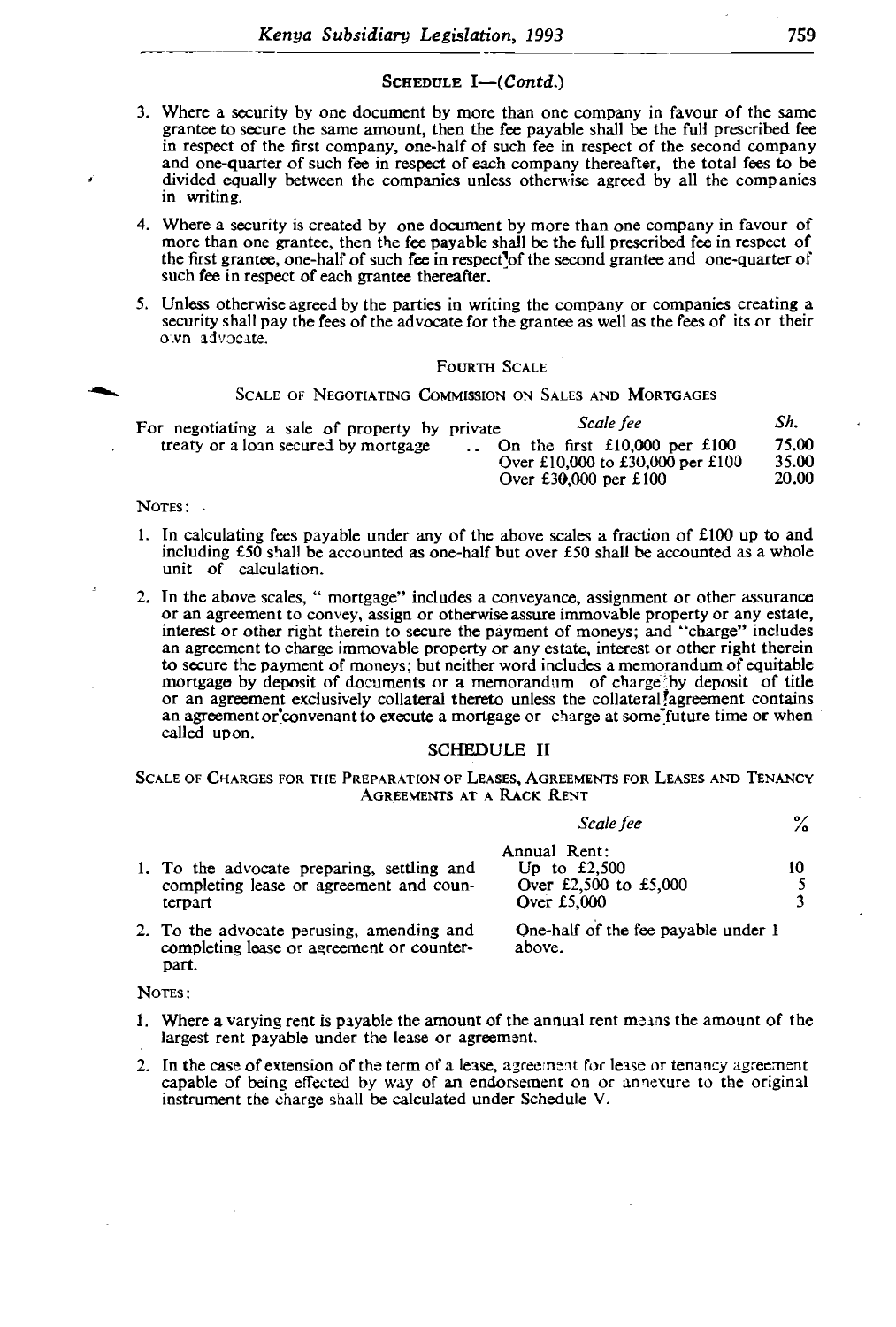#### SCHEDULE  $I-Contd$ )  $S$  control in  $S$  (control)

more than one grantee, then the fee payable shall be the full prescribed fee in respect of

- 3. Where a security by one document by more than one company in favour of the same grantee to secure the same amount, then the fee payable shall be the full prescribed fee in respect of the first company, one-half of such fee in respect of the second company and one-quarter of such fee in respect of each company thereafter, the total fees to be divided equally between the companies unless otherwise agreed by all the companies in writing.
- 4. Where a security is created by one document by more than one company in favour of than one grantee, then the fee payable shall be the full prescribed fe grantee, one-half of such fee in respect of the second grantee and one-quarter  $\alpha$
- 5. Unless otherwise agreed by the parties in writing the company or companies creating a security shall pay the fees of the advocate for the grantee as well as the fees of its or their own advocate. 1. In calculating fees payable under any of the above scales a fraction of  $E_1$ 00 up to any of  $E_1$ 00 up to an

#### **FOURTH SCALE**

#### SCALE OF NEGOTIATING COMMISSION ON SALES AND MORTGAGES

| Sh.<br>Scale fee<br>For negotiating a sale of property by private<br>75.00<br>treaty or a loan secured by mortgage<br>$\therefore$ On the first £10,000 per £100<br>35.00<br>Over £10,000 to £30,000 per £100<br>20.00<br>Over $£30,000$ per $£100$ |  |
|-----------------------------------------------------------------------------------------------------------------------------------------------------------------------------------------------------------------------------------------------------|--|
|-----------------------------------------------------------------------------------------------------------------------------------------------------------------------------------------------------------------------------------------------------|--|

## NOTES:

- 1. In calculating fees payable under any of the above scales a fraction of  $£100$  up to and  $\frac{1}{2}$  £50 shall be accounted as one-half but over £50 shall calculation. unit of calculation.
- 2. To the advocate perusian and some persuadies and some persuadies and some persuadies and some persuadies and some  $\mathbb{R}^n$ age by deposit of documents or a memorandum of charge by deposit of title reement exclusively collateral thereto unless the collateral agreement contains<br>ment or convenant to execute a mortgage or charge at some future time or when 2. In the above scales, "mortgage" includes a conveyance, assignment or other assurance or an agreement to convey, assign or otherwise assure immovable property or any estate, interest or other right therein to secure the payment of moneys; and "charge" includes an agreement to charge immovable property or any estate, interest or other right therein to secure the payment of moneys; but neither word includes a memorandum of equitable or an agreement exclusively collateral thereto unless the collateral agreement contains

#### completing lease or agreement or counter-[ARG] **AGREEMENTS AT A RACK RENT**

|          | $^{\circ}$ |  |
|----------|------------|--|
| cale fee | ∕о         |  |

|                                            | Annual Rent:                                                      |  |
|--------------------------------------------|-------------------------------------------------------------------|--|
| 1. To the advocate preparing, settling and | Up to $£2.500$                                                    |  |
| completing lease or agreement and coun-    | Over £2,500 to £5,000                                             |  |
| terpart                                    | Over $£5,000$                                                     |  |
| .                                          | $\sim$ $\sim$ $\sim$ $\sim$ $\sim$<br>$\sim$ $\sim$ $\sim$ $\sim$ |  |

completing lease or agreement or counterpart.

above.

NOTES:

- 1. Where a varying rent is payable the amount of the annual rent means the amount of the largest rent payable under the lease or agreement.
- 2. In the case of extension of the term of a lease, agreement for lease or tenancy agreement capable of being effected by way of an endorsement on or annexure to the original instrument the charge shall be calculated under Schedule V.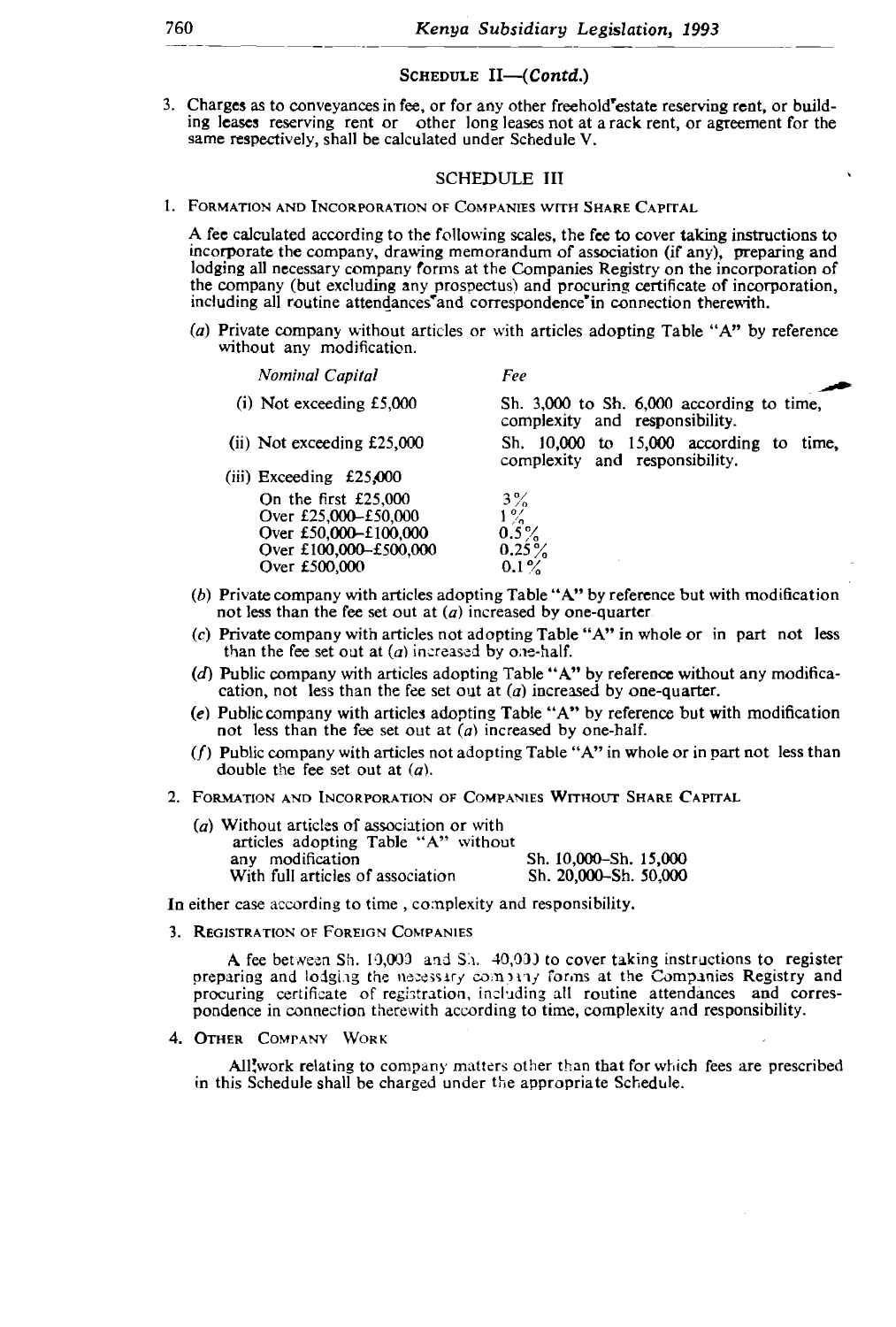#### SCHEDULE  $II$ - $(Contd.)$  $l_{\rm{c}}$  and  $l_{\rm{c}}$  are  $l_{\rm{c}}$  companies  $R_{\rm{c}}$

3. Charges as to conveyances in fee, or for any other freehold estate reserving rent, or building leases reserving rent or other long leases not at a rack rent, or agreement for the same respectively, shall be calculated under Schedule V.

# without any modification.

*Nominal Capital Fee*

(i) Not exceeding  $\mathbf{5}$ , on  $\mathbf{5}$ , on  $\mathbf{5}$ ,  $\mathbf{6}$ ,  $\mathbf{6}$ ,  $\mathbf{7}$ ,  $\mathbf{8}$ ,  $\mathbf{8}$ ,  $\mathbf{9}$ ,  $\mathbf{10}$ ,  $\mathbf{11}$ ,  $\mathbf{12}$ ,  $\mathbf{13}$ ,  $\mathbf{16}$ ,  $\mathbf{17}$ ,  $\mathbf{18}$ ,  $\mathbf{18}$ ,  $\mathbf{19}$ ,  $\mathbf{18}$  $\sim$  company, drawing including and in association (if any), preparing and  $\sim$ he fee to cover taking instruction the company (but excluding any prospectus) and procuring certificate of incorporation, including all routine attendances and correspondence in connection therewith.

On the first £25,000 3 ~~  $\overline{a}$  without articles or with articles without any modification.

| Nominal Capital              | Fee                                                                             |
|------------------------------|---------------------------------------------------------------------------------|
| $(i)$ Not exceeding £5,000   | Sh. $3,000$ to Sh. $6,000$ according to time,<br>complexity and responsibility. |
| $(ii)$ Not exceeding £25,000 | Sh. $10,000$ to $15,000$ according to time,                                     |
| $(iii)$ Exceeding £25,000    | complexity and responsibility.                                                  |
| On the first $£25,000$       | $3\%$                                                                           |
| Over £25,000-£50,000         | 10/                                                                             |
| Over £50,000-£100,000        | $0.5\%$                                                                         |
| Over £100,000-£500,000       | $0.25\%$                                                                        |
| Over £500,000                | $0.1\%$                                                                         |

- (b) Private company with articles adopting Table " $A$ " by reference but with modification not less than the fee set out at (*a*) increased by one-quarter (*c*) Private company with articles not adopting Table "A" in whole or in part not less
- (a) Without articles not adopting 1 as  $\frac{1}{2}$  are  $\frac{1}{2}$  and  $\frac{1}{2}$  with  $\frac{1}{2}$  without  $\frac{1}{2}$  without  $\frac{1}{2}$  without  $\frac{1}{2}$  without  $\frac{1}{2}$  without  $\frac{1}{2}$  without  $\frac{1}{2}$  without  $\frac{1}{2}$  without  $\frac{1}{2}$  without  $\frac{1}{2}$  withou
- ipany with articles adopting Table "A" by reference without an t less than the fee set out at  $(a)$  increased by one-quarter.
- (e) Public company with articles adopting Table "A" by reference but with modification not less than the fee set out at  $(a)$  increased by one-half.
- $(f)$  Public company with articles not adopting Table "A" in whole or in part not less than A fee steer out at  $\langle u \rangle$ .
- 2. FORMATION AND INCORPORATION OF COMPANIES WITHOUT SHARE CAPITAL

| $\alpha$ ) Without articles of association or with<br>articles adopting Table "A" without<br>Sh. 10,000–Sh. 15,000<br>any modification<br>Sh. 20,000-Sh. 50,000<br>With full articles of association |
|------------------------------------------------------------------------------------------------------------------------------------------------------------------------------------------------------|
|------------------------------------------------------------------------------------------------------------------------------------------------------------------------------------------------------|

In either case according to time, complexity and responsibility.

3. REGISTRATION OF FOREIGN COMPANIES

A fee between Sh. 10,000 and Sh. 40,000 to cover taking instructions to register preparing and lodging the necessary company forms at the Companies Registry and procuring certificate of registration, including all routine attendances and correspondence in connection therewith according to time, complexity and responsibility.

4. OTHER COMPANY WORK

1

All'work relating to company matters other than that for which fees are prescribed in this Schedule shall be charged under the appropriate Schedule.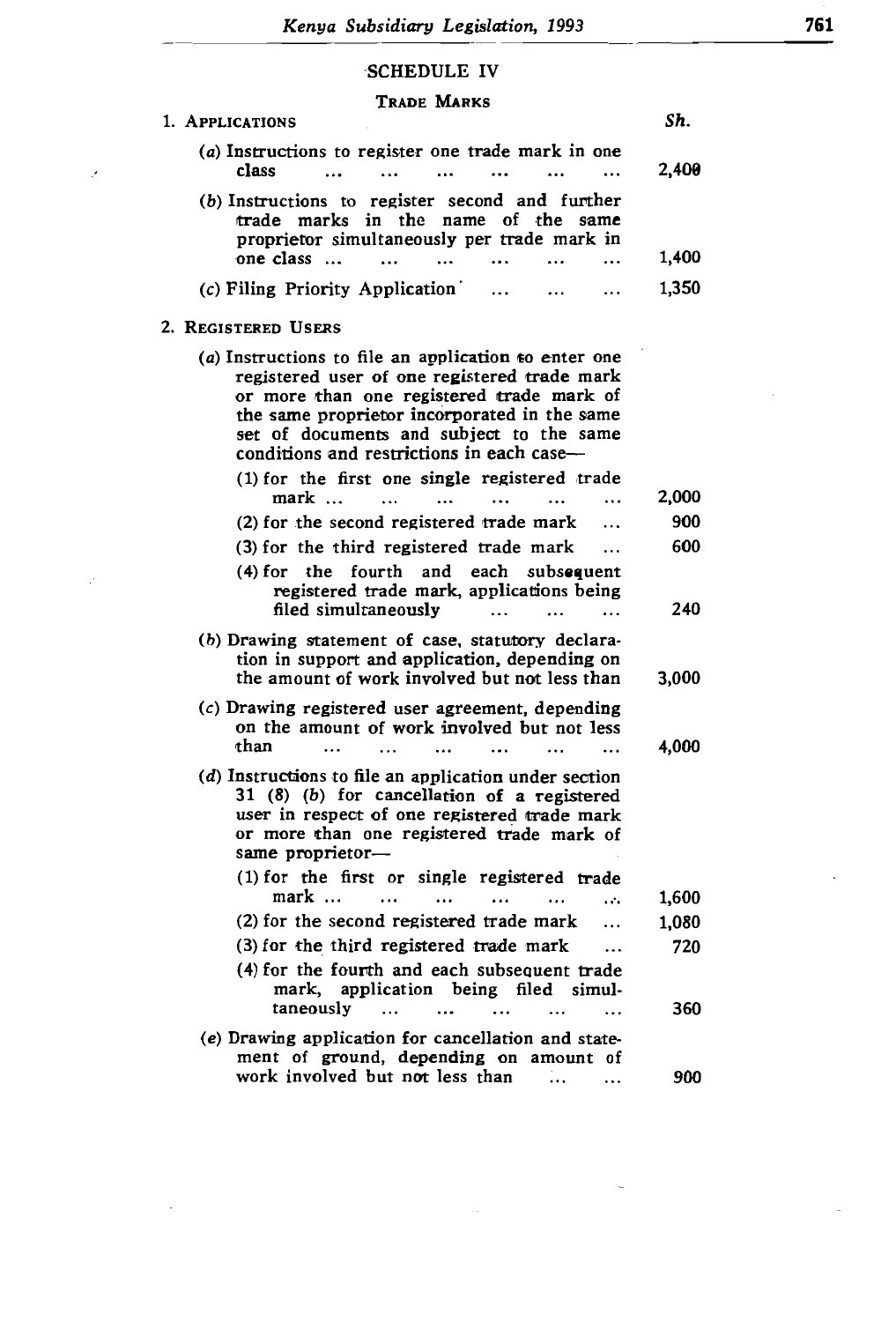### proprietor simultaneously per trade mark in one class ...

## TRADE MARKS

| 1. APPLICATIONS                                                                                                                                                                                                                                                                              | Sh.   |
|----------------------------------------------------------------------------------------------------------------------------------------------------------------------------------------------------------------------------------------------------------------------------------------------|-------|
| (a) Instructions to register one trade mark in one<br>class<br>$\cdots$                                                                                                                                                                                                                      | 2,400 |
| (b) Instructions to register second and further<br>trade marks in the name of the<br>same<br>proprietor simultaneously per trade mark in                                                                                                                                                     |       |
| one class<br>$\cdots$<br>$\cdots$                                                                                                                                                                                                                                                            | 1,400 |
| (c) Filing Priority Application                                                                                                                                                                                                                                                              | 1,350 |
| 2. REGISTERED USERS                                                                                                                                                                                                                                                                          |       |
| $(a)$ Instructions to file an application to enter one<br>registered user of one registered trade mark<br>or more than one registered trade mark of<br>the same proprietor incorporated in the same<br>set of documents and subject to the same<br>conditions and restrictions in each case- |       |
| (1) for the first one single registered trade<br>mark<br>.                                                                                                                                                                                                                                   | 2,000 |
| (2) for the second registered trade mark<br>.                                                                                                                                                                                                                                                | 900   |
| (3) for the third registered trade mark<br>.                                                                                                                                                                                                                                                 | 600   |
| (4) for the fourth and each subsequent<br>registered trade mark, applications being<br>filed simultaneously<br>$\cdots$                                                                                                                                                                      | 240   |
| (b) Drawing statement of case, statutory declara-<br>tion in support and application, depending on<br>the amount of work involved but not less than                                                                                                                                          | 3,000 |
| (c) Drawing registered user agreement, depending<br>on the amount of work involved but not less<br>than                                                                                                                                                                                      | 4,000 |
| $\cdots$                                                                                                                                                                                                                                                                                     |       |
| (d) Instructions to file an application under section<br>31 (8) (b) for cancellation of a registered<br>user in respect of one registered trade mark<br>or more than one registered trade mark of<br>same proprietor-                                                                        |       |
| (1) for the first or single registered trade<br>$mark \dots$<br>.                                                                                                                                                                                                                            | 1,600 |
| (2) for the second registered trade mark<br>.                                                                                                                                                                                                                                                | 1,080 |
| (3) for the third registered trade mark<br>$\cdots$                                                                                                                                                                                                                                          | 720   |
| (4) for the fourth and each subsequent trade<br>mark, application being filed simul-<br>taneously                                                                                                                                                                                            |       |
| $\cdots$<br>$\cdots$<br>$\cdots$                                                                                                                                                                                                                                                             | 360   |
| (e) Drawing application for cancellation and state-<br>ment of ground, depending on amount of<br>work involved but not less than<br>                                                                                                                                                         | 900   |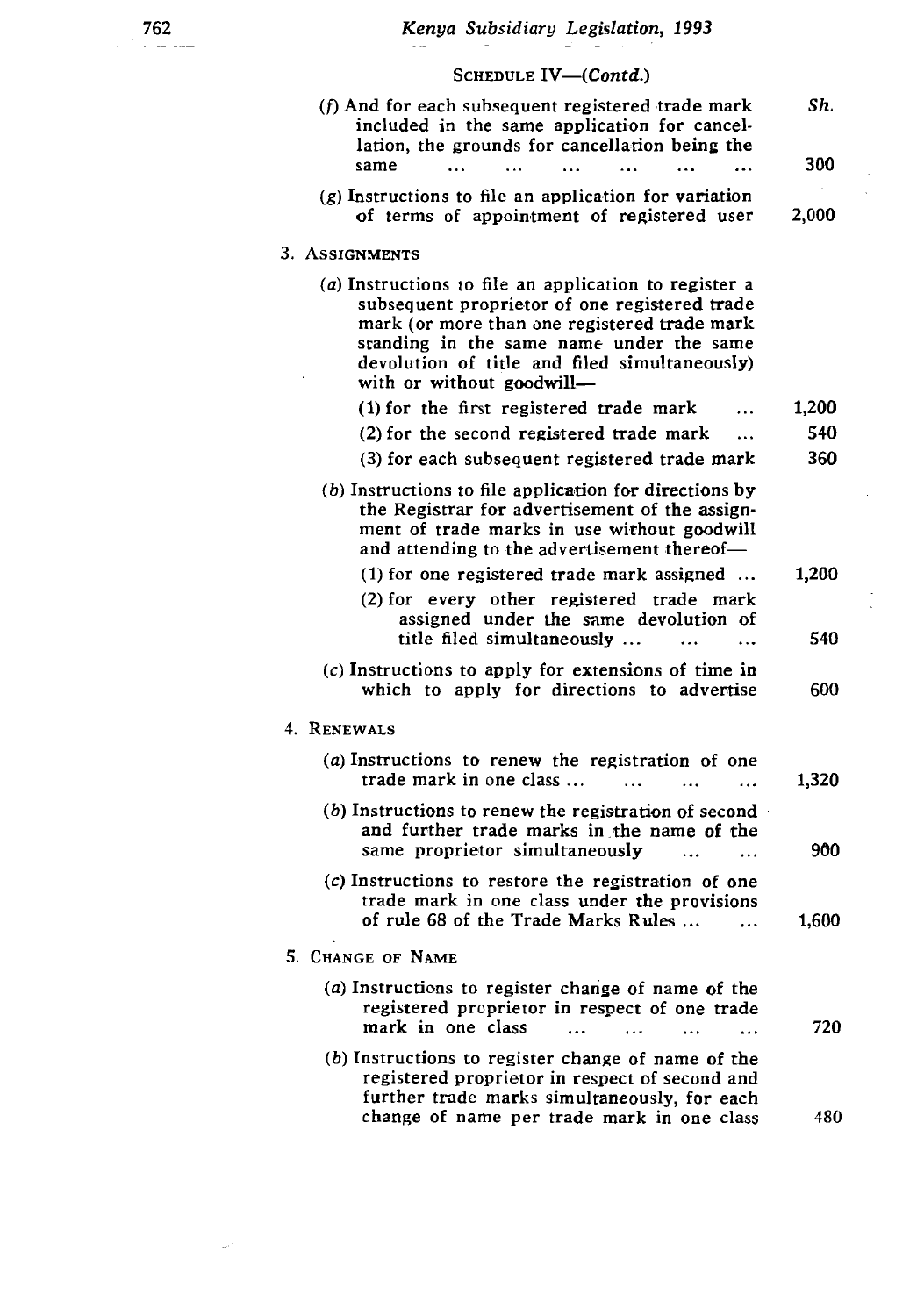### subsequent proprietor of one registered trade SCHEDULE  $IV$ — $(Contd.)$

| (f) And for each subsequent registered trade mark<br>included in the same application for cancel-                                                                                                                                                                                | Sh.   |
|----------------------------------------------------------------------------------------------------------------------------------------------------------------------------------------------------------------------------------------------------------------------------------|-------|
| lation, the grounds for cancellation being the<br>same                                                                                                                                                                                                                           | 300   |
| $(g)$ Instructions to file an application for variation<br>of terms of appointment of registered user                                                                                                                                                                            | 2,000 |
| 3. ASSIGNMENTS                                                                                                                                                                                                                                                                   |       |
| (a) Instructions to file an application to register a<br>subsequent proprietor of one registered trade<br>mark (or more than one registered trade mark<br>standing in the same name under the same<br>devolution of title and filed simultaneously)<br>with or without goodwill- |       |
| (1) for the first registered trade mark                                                                                                                                                                                                                                          | 1,200 |
| (2) for the second registered trade mark<br>$\cdots$                                                                                                                                                                                                                             | 540   |
| (3) for each subsequent registered trade mark                                                                                                                                                                                                                                    | 360   |
| $(b)$ Instructions to file application for directions by<br>the Registrar for advertisement of the assign-<br>ment of trade marks in use without goodwill<br>and attending to the advertisement thereof-                                                                         |       |
| (1) for one registered trade mark assigned                                                                                                                                                                                                                                       | 1,200 |
| (2) for every other registered trade mark<br>assigned under the same devolution of<br>title filed simultaneously                                                                                                                                                                 | 540   |
| $(c)$ Instructions to apply for extensions of time in<br>which to apply for directions to advertise                                                                                                                                                                              | 600   |
| 4. RENEWALS                                                                                                                                                                                                                                                                      |       |
| (a) Instructions to renew the registration of one<br>trade mark in one class                                                                                                                                                                                                     | 1,320 |
| $(b)$ Instructions to renew the registration of second<br>and further trade marks in the name of the<br>same proprietor simultaneously                                                                                                                                           | 900   |
| (c) Instructions to restore the registration of one<br>trade mark in one class under the provisions<br>of rule 68 of the Trade Marks Rules                                                                                                                                       | 1,600 |
| 5. CHANGE OF NAME                                                                                                                                                                                                                                                                |       |
| (a) Instructions to register change of name of the<br>registered proprietor in respect of one trade<br>mark in one class                                                                                                                                                         | 720   |
| (b) Instructions to register change of name of the<br>registered proprietor in respect of second and<br>further trade marks simultaneously, for each<br>change of name per trade mark in one class                                                                               | 480   |
|                                                                                                                                                                                                                                                                                  |       |

 $\omega$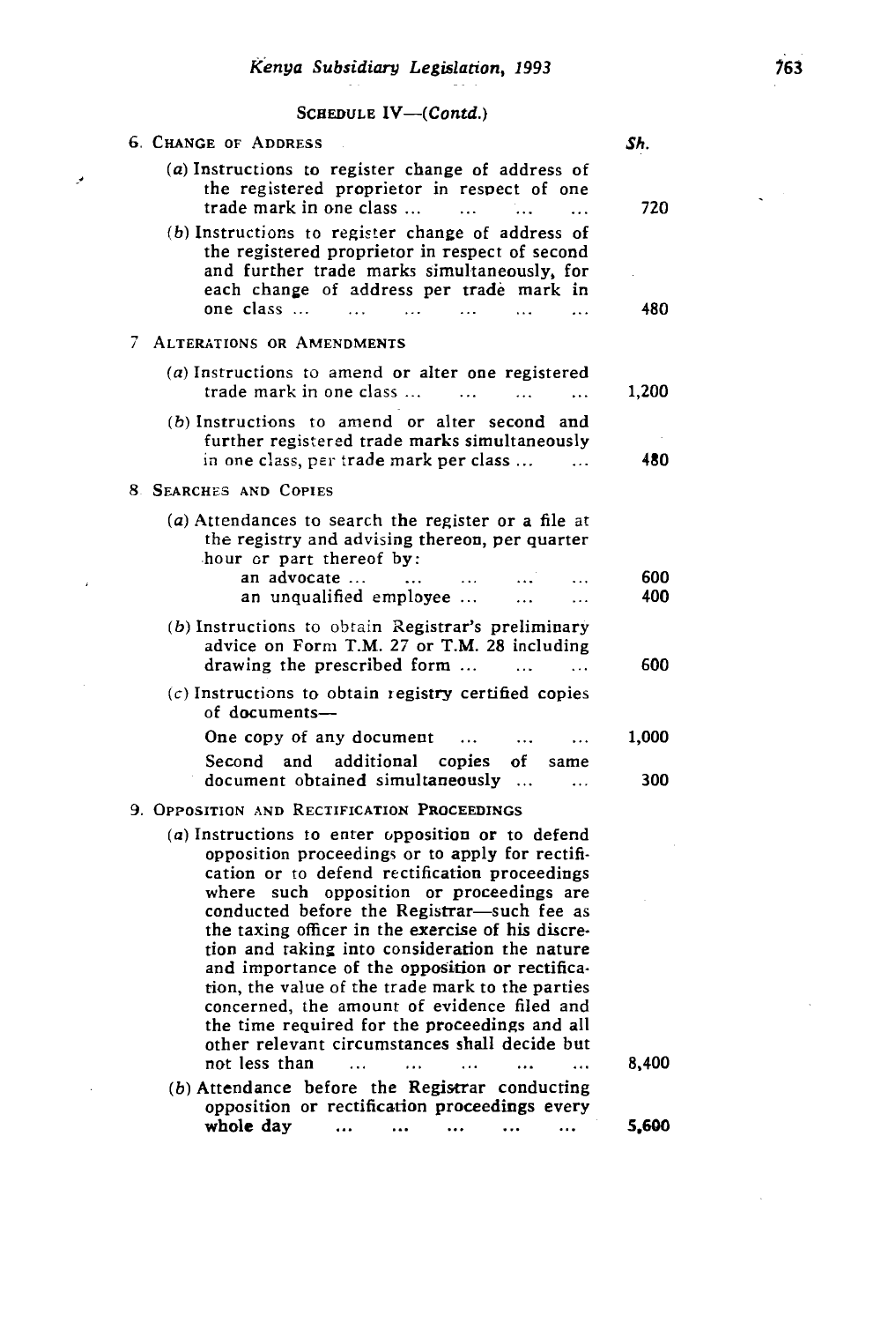and further trade marks simultaneously, for the simultaneously, for the simultaneously, for the simultaneously,

## SCHEDULE  $IV$ - $(Contd.)$

 $\mathcal{P}$ 

 $\hat{E}$ 

| <b>6. CHANGE OF ADDRESS</b>                                                                                                                                                                                                                                                                                                                                                                                                                                 | Sh.        |
|-------------------------------------------------------------------------------------------------------------------------------------------------------------------------------------------------------------------------------------------------------------------------------------------------------------------------------------------------------------------------------------------------------------------------------------------------------------|------------|
| (a) Instructions to register change of address of<br>the registered proprietor in respect of one<br>trade mark in one class                                                                                                                                                                                                                                                                                                                                 | 720        |
| (b) Instructions to register change of address of<br>the registered proprietor in respect of second<br>and further trade marks simultaneously, for<br>each change of address per trade mark in                                                                                                                                                                                                                                                              |            |
| one class                                                                                                                                                                                                                                                                                                                                                                                                                                                   | 480        |
| 7<br>ALTERATIONS OR AMENDMENTS                                                                                                                                                                                                                                                                                                                                                                                                                              |            |
| (a) Instructions to amend or alter one registered<br>trade mark in one class<br>$\ddotsc$<br>$\ddotsc$<br>$\ddotsc$                                                                                                                                                                                                                                                                                                                                         | 1,200      |
| (b) Instructions to amend or alter second and<br>further registered trade marks simultaneously<br>in one class, per trade mark per class                                                                                                                                                                                                                                                                                                                    | 480        |
| 8. SEARCHES AND COPIES                                                                                                                                                                                                                                                                                                                                                                                                                                      |            |
| (a) Attendances to search the register or a file at<br>the registry and advising thereon, per quarter<br>hour or part thereof by:                                                                                                                                                                                                                                                                                                                           |            |
| an advocate<br>$\ddotsc$<br>$\cdots$<br>$\ddotsc$<br>an unqualified employee<br>$\ddotsc$<br>$\cdots$                                                                                                                                                                                                                                                                                                                                                       | 600<br>400 |
| (b) Instructions to obtain Registrar's preliminary<br>advice on Form T.M. 27 or T.M. 28 including                                                                                                                                                                                                                                                                                                                                                           |            |
| drawing the prescribed form<br>$\cdots$<br>$\cdots$<br>$(c)$ Instructions to obtain registry certified copies<br>of documents-                                                                                                                                                                                                                                                                                                                              | 600        |
| One copy of any document<br>$\cdots$<br>$\ddotsc$<br>$\cdots$                                                                                                                                                                                                                                                                                                                                                                                               | 1,000      |
| and<br>additional copies<br>Second<br>of<br>same                                                                                                                                                                                                                                                                                                                                                                                                            |            |
| document obtained simultaneously<br>$\cdots$                                                                                                                                                                                                                                                                                                                                                                                                                | 300        |
| 9. OPPOSITION AND RECTIFICATION PROCEEDINGS                                                                                                                                                                                                                                                                                                                                                                                                                 |            |
| (a) Instructions to enter opposition or to defend<br>opposition proceedings or to apply for rectifi-<br>cation or to defend rectification proceedings<br>where such opposition or proceedings are<br>conducted before the Registrar-such fee as<br>the taxing officer in the exercise of his discre-<br>tion and taking into consideration the nature<br>and importance of the opposition or rectifica-<br>tion, the value of the trade mark to the parties |            |
| concerned, the amount of evidence filed and<br>the time required for the proceedings and all<br>other relevant circumstances shall decide but                                                                                                                                                                                                                                                                                                               |            |
| not less than                                                                                                                                                                                                                                                                                                                                                                                                                                               | 8,400      |
| (b) Attendance before the Registrar conducting<br>opposition or rectification proceedings every                                                                                                                                                                                                                                                                                                                                                             |            |
| whole day                                                                                                                                                                                                                                                                                                                                                                                                                                                   | 5,600      |

 $\zeta^{(1)}$  .

 $\bar{\lambda}$ 

 $\sim 10^7$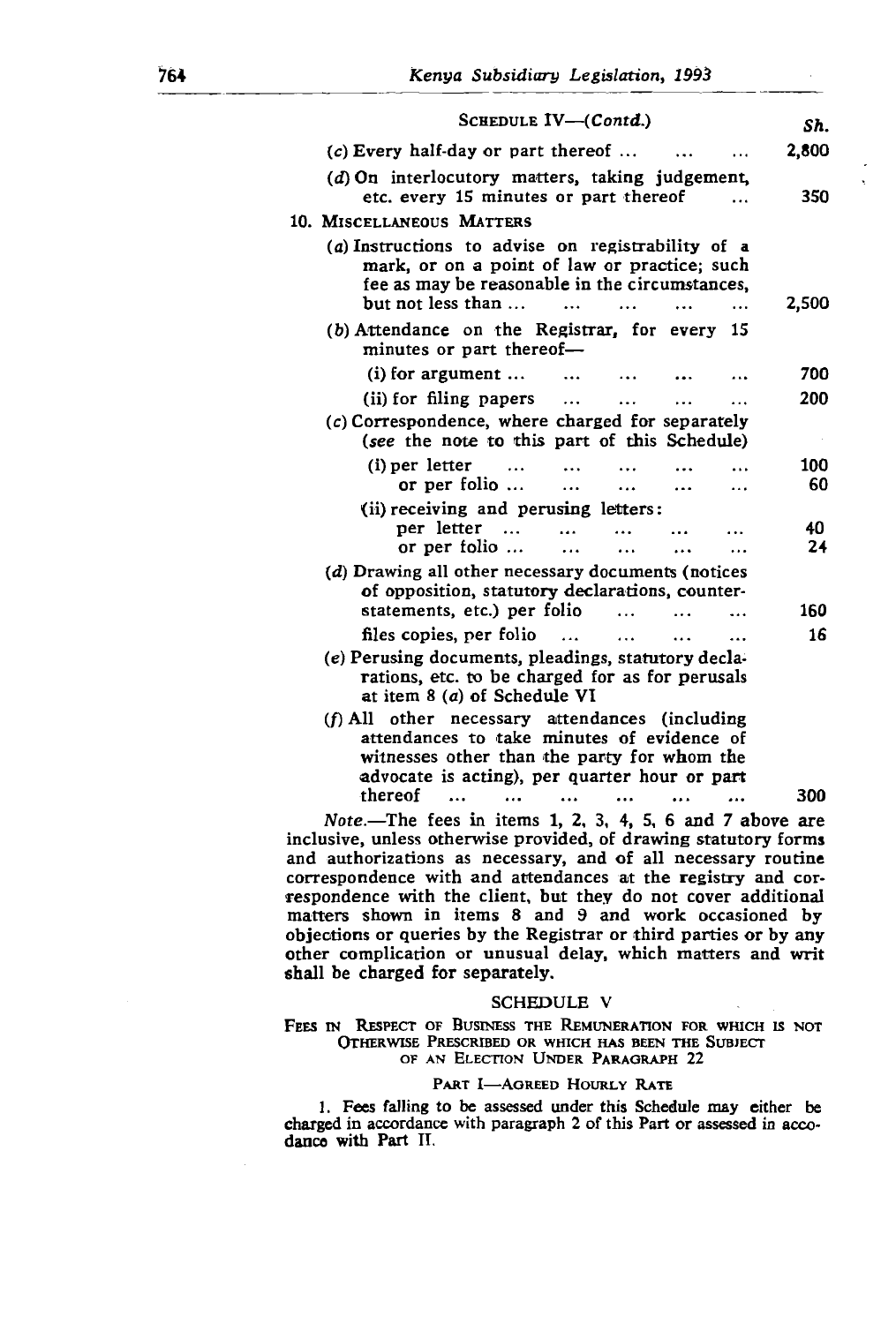| SCHEDULE IV-(Contd.)<br>Sh.<br>2,800<br>$(c)$ Every half-day or part thereof<br>$(d)$ On interlocutory matters, taking judgement,<br>etc. every 15 minutes or part thereof<br>350<br>10. MISCELLANEOUS MATTERS<br>(a) Instructions to advise on registrability of a<br>mark, or on a point of law or practice; such<br>fee as may be reasonable in the circumstances,<br>but not less than<br>.<br>(b) Attendance on the Registrar, for every 15<br>minutes or part thereof-<br>$(i)$ for argument $\dots$<br>$\ddotsc$<br>(ii) for filing papers<br>$\cdots$<br>.<br>(c) Correspondence, where charged for separately<br>(see the note to this part of this Schedule)<br>(i) per letter<br>$\cdots$<br>or per folio $\ldots$<br>$\ddotsc$<br>$\ddotsc$<br>(ii) receiving and perusing letters:<br>per letter<br>40<br>or per folio $\ldots$<br>24<br>$\cdots$<br>$\cdots$<br>(d) Drawing all other necessary documents (notices<br>of opposition, statutory declarations, counter-<br>statements, etc.) per folio<br>160<br>files copies, per folio<br>16<br>$\ddot{\phantom{0}}$<br>$\ddotsc$<br>(e) Perusing documents, pleadings, statutory decla-<br>rations, etc. to be charged for as for perusals<br>at item 8 (a) of Schedule VI<br>$(f)$ All other necessary attendances (including<br>attendances to take minutes of evidence of<br>witnesses other than the party for whom the<br>advocate is acting), per quarter hour or part |         |     |
|---------------------------------------------------------------------------------------------------------------------------------------------------------------------------------------------------------------------------------------------------------------------------------------------------------------------------------------------------------------------------------------------------------------------------------------------------------------------------------------------------------------------------------------------------------------------------------------------------------------------------------------------------------------------------------------------------------------------------------------------------------------------------------------------------------------------------------------------------------------------------------------------------------------------------------------------------------------------------------------------------------------------------------------------------------------------------------------------------------------------------------------------------------------------------------------------------------------------------------------------------------------------------------------------------------------------------------------------------------------------------------------------------------------------------------------------|---------|-----|
|                                                                                                                                                                                                                                                                                                                                                                                                                                                                                                                                                                                                                                                                                                                                                                                                                                                                                                                                                                                                                                                                                                                                                                                                                                                                                                                                                                                                                                             |         |     |
|                                                                                                                                                                                                                                                                                                                                                                                                                                                                                                                                                                                                                                                                                                                                                                                                                                                                                                                                                                                                                                                                                                                                                                                                                                                                                                                                                                                                                                             |         |     |
|                                                                                                                                                                                                                                                                                                                                                                                                                                                                                                                                                                                                                                                                                                                                                                                                                                                                                                                                                                                                                                                                                                                                                                                                                                                                                                                                                                                                                                             |         |     |
| 2,500<br>700<br>200                                                                                                                                                                                                                                                                                                                                                                                                                                                                                                                                                                                                                                                                                                                                                                                                                                                                                                                                                                                                                                                                                                                                                                                                                                                                                                                                                                                                                         |         |     |
|                                                                                                                                                                                                                                                                                                                                                                                                                                                                                                                                                                                                                                                                                                                                                                                                                                                                                                                                                                                                                                                                                                                                                                                                                                                                                                                                                                                                                                             |         |     |
|                                                                                                                                                                                                                                                                                                                                                                                                                                                                                                                                                                                                                                                                                                                                                                                                                                                                                                                                                                                                                                                                                                                                                                                                                                                                                                                                                                                                                                             |         |     |
|                                                                                                                                                                                                                                                                                                                                                                                                                                                                                                                                                                                                                                                                                                                                                                                                                                                                                                                                                                                                                                                                                                                                                                                                                                                                                                                                                                                                                                             |         |     |
| 100<br>60                                                                                                                                                                                                                                                                                                                                                                                                                                                                                                                                                                                                                                                                                                                                                                                                                                                                                                                                                                                                                                                                                                                                                                                                                                                                                                                                                                                                                                   |         |     |
|                                                                                                                                                                                                                                                                                                                                                                                                                                                                                                                                                                                                                                                                                                                                                                                                                                                                                                                                                                                                                                                                                                                                                                                                                                                                                                                                                                                                                                             |         |     |
|                                                                                                                                                                                                                                                                                                                                                                                                                                                                                                                                                                                                                                                                                                                                                                                                                                                                                                                                                                                                                                                                                                                                                                                                                                                                                                                                                                                                                                             |         |     |
|                                                                                                                                                                                                                                                                                                                                                                                                                                                                                                                                                                                                                                                                                                                                                                                                                                                                                                                                                                                                                                                                                                                                                                                                                                                                                                                                                                                                                                             |         |     |
|                                                                                                                                                                                                                                                                                                                                                                                                                                                                                                                                                                                                                                                                                                                                                                                                                                                                                                                                                                                                                                                                                                                                                                                                                                                                                                                                                                                                                                             |         |     |
|                                                                                                                                                                                                                                                                                                                                                                                                                                                                                                                                                                                                                                                                                                                                                                                                                                                                                                                                                                                                                                                                                                                                                                                                                                                                                                                                                                                                                                             |         |     |
|                                                                                                                                                                                                                                                                                                                                                                                                                                                                                                                                                                                                                                                                                                                                                                                                                                                                                                                                                                                                                                                                                                                                                                                                                                                                                                                                                                                                                                             |         |     |
|                                                                                                                                                                                                                                                                                                                                                                                                                                                                                                                                                                                                                                                                                                                                                                                                                                                                                                                                                                                                                                                                                                                                                                                                                                                                                                                                                                                                                                             |         |     |
|                                                                                                                                                                                                                                                                                                                                                                                                                                                                                                                                                                                                                                                                                                                                                                                                                                                                                                                                                                                                                                                                                                                                                                                                                                                                                                                                                                                                                                             |         |     |
|                                                                                                                                                                                                                                                                                                                                                                                                                                                                                                                                                                                                                                                                                                                                                                                                                                                                                                                                                                                                                                                                                                                                                                                                                                                                                                                                                                                                                                             |         |     |
|                                                                                                                                                                                                                                                                                                                                                                                                                                                                                                                                                                                                                                                                                                                                                                                                                                                                                                                                                                                                                                                                                                                                                                                                                                                                                                                                                                                                                                             |         |     |
|                                                                                                                                                                                                                                                                                                                                                                                                                                                                                                                                                                                                                                                                                                                                                                                                                                                                                                                                                                                                                                                                                                                                                                                                                                                                                                                                                                                                                                             | thereof | 300 |

Note.-The fees in items 1, 2, 3, 4, 5, 6 and 7 above are inclusive, unless otherwise provided, of drawing statutory forms and authorizations as necessary, and of all necessary routine correspondence with and attendances at the registry and correspondence with the client, but they do not cover additional matters shown in items 8 and 9 and work occasioned by objections or queries by the Registrar or third parties or by any  $\alpha$  charged in a correct in a cordinate in a cordinate in a coomphication or ur<br>———————————————————

#### **SCHEDULE V**

FEES IN RESPECT OF BUSINESS THE REMUNERATION FOR WHICH IS NOT OTHERWISE PRESCRIBED OR WHICH HAS BEEN THE SUBJECT OF AN ELECTION UNDER PARAGRAPH 22

#### PART I-AGREED HOURLY RATE

1. Fees falling to be assessed under this Schedule may either be charged in accordance with paragraph 2 of this Part or assessed in accodance with Part II.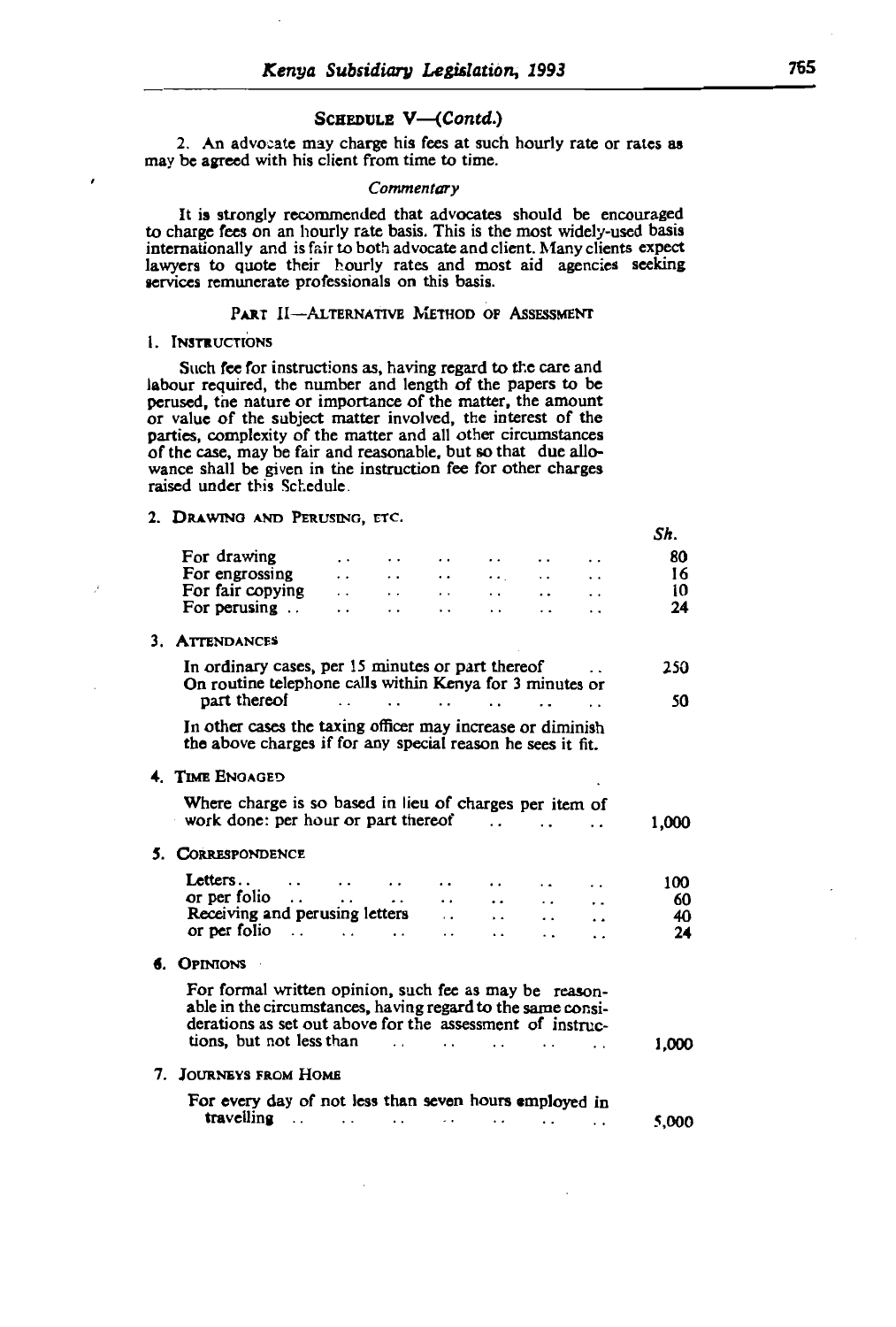**SCHEDULE V-(Contd.)**<br>2. An advocate may charge his fees at such hourly rate or rates as may be agreed with his client from time to time.

#### Commentary

labour required, the number of the number and length of the papers of the papers of the papers of the papers of the papers of the papers of the papers of the papers of the papers of the papers of the papers of the papers o persuade persuaded that advocates should be encouraged. to charge fees on an hourly rate basis. This is the most widely-used basis internationally and is fair to both advocate and client. Many clients expect phally and is tair to both advocate and client. Many clients  $exp(-\frac{1}{2}t)$ to quote their hourly rates and most aid agencies seeks emunerate professionals on this basis.

#### PART II-ALTERNATIVE METHOD OF ASSESSMENT

#### 1. INSTRUCTIONS

Such fee for instructions as, having regard to the care and labour required, the number and length of the papers to be perused, the nature or importance of the matter, the amount or value of the subject matter involved, the interest of the parties, complexity of the matter and all other circumstances of the case, may be fair and reasonable, but so that due allowance shall be given in the instruction fee for other charges raised under this Schedule.

# **2. Drawing and Perusing, etc.**  $S_h$ .  $S_h$ .

|    |                                                                                                                                                                                                                         |           |                  |           |                      |                                   |                      | .     |
|----|-------------------------------------------------------------------------------------------------------------------------------------------------------------------------------------------------------------------------|-----------|------------------|-----------|----------------------|-----------------------------------|----------------------|-------|
|    | For drawing                                                                                                                                                                                                             | $\cdot$ . | $\cdot$ $\cdot$  | $\cdot$ . | $\cdot$ .            |                                   | $\ddot{\phantom{0}}$ | 80    |
|    | For engrossing                                                                                                                                                                                                          |           |                  |           |                      |                                   |                      | -16   |
|    |                                                                                                                                                                                                                         |           |                  | $\cdots$  |                      | $\cdot \cdot$ $\cdot$ $\cdot$     | $\ddots$             | -10   |
|    | For fair copying<br>For perusing                                                                                                                                                                                        |           |                  | $\cdots$  | $\cdots$             | $\cdot$ .                         |                      | 24    |
| 3. | <b>ATTENDANCES</b>                                                                                                                                                                                                      |           |                  |           |                      |                                   |                      |       |
|    | In ordinary cases, per 15 minutes or part thereof<br>On routine telephone calls within Kenya for 3 minutes or                                                                                                           |           |                  |           |                      |                                   |                      | 250   |
|    | part thereof                                                                                                                                                                                                            |           |                  |           |                      |                                   | $\ddot{\phantom{0}}$ | 50    |
|    | In other cases the taxing officer may increase or diminish<br>the above charges if for any special reason he sees it fit.                                                                                               |           |                  |           |                      |                                   |                      |       |
|    | 4. TIME ENGAGED                                                                                                                                                                                                         |           |                  |           |                      |                                   |                      |       |
|    | Where charge is so based in lieu of charges per item of<br>work done: per hour or part thereof                                                                                                                          |           |                  |           |                      |                                   | $\ddot{\phantom{0}}$ | 1,000 |
| 5. | <b>CORRESPONDENCE</b>                                                                                                                                                                                                   |           |                  |           |                      |                                   |                      |       |
|    | Letters $\cdots$ $\cdots$ $\cdots$                                                                                                                                                                                      |           |                  |           |                      |                                   | $\cdot$ .            | 100   |
|    | or per folio $\ldots$                                                                                                                                                                                                   |           | and the state of |           |                      |                                   | $\cdot$ .            | 60    |
|    | Receiving and perusing letters                                                                                                                                                                                          |           |                  |           |                      |                                   | $\cdot$ .            | - 40  |
|    | or per folio $\cdot$ $\cdot$ $\cdot$ $\cdot$ $\cdot$                                                                                                                                                                    |           |                  | $\cdot$ . | $\ddot{\phantom{0}}$ | . .                               | $\ddot{\phantom{0}}$ | 24    |
|    | <b>6. OPINIONS</b>                                                                                                                                                                                                      |           |                  |           |                      |                                   |                      |       |
|    | For formal written opinion, such fee as may be reason-<br>able in the circumstances, having regard to the same consi-<br>derations as set out above for the assessment of instruc-<br>tions, but not less than $\cdots$ |           |                  |           |                      |                                   | $\cdots$             | 1.000 |
|    |                                                                                                                                                                                                                         |           |                  |           |                      |                                   |                      |       |
|    | 7. JOURNEYS FROM HOME                                                                                                                                                                                                   |           |                  |           |                      |                                   |                      |       |
|    | For every day of not less than seven hours employed in                                                                                                                                                                  |           |                  |           |                      |                                   |                      |       |
|    | travelling                                                                                                                                                                                                              |           | $\ddotsc$        |           |                      | and the state of the state of the | $\ddot{\phantom{0}}$ | 5.000 |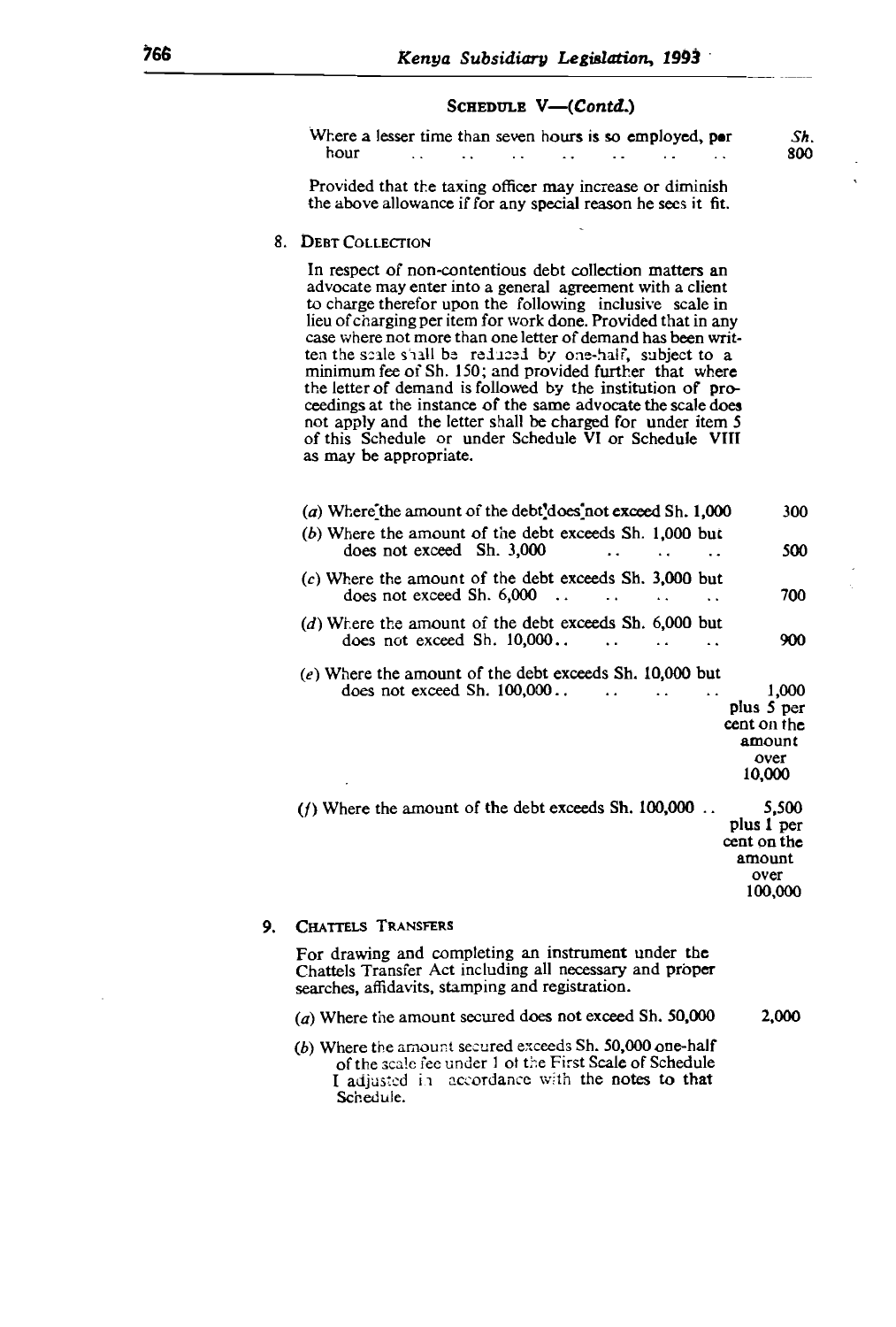#### SCHEDULE  $V$ — $(Contd.)$

| Where a lesser time than seven hours is so employed, por<br>hour |               |                      |        |               |   |  | Sh |
|------------------------------------------------------------------|---------------|----------------------|--------|---------------|---|--|----|
|                                                                  | $\sim$ $\sim$ | $\sim$ $\sim$ $\sim$ | $\sim$ | $\sim$ $\sim$ | . |  | 80 |

 $t_{\text{ref}}$  the scale siall behalf, subject to a subject to a subject to a subject to a subject to a subject to a subject to a subject to a subject to a subject to a subject to a subject to a subject to a subject to a subje I that the taxing officer may increase or diminish the above allowance if for any special reason he sees it fit.

#### ceedings at the instance of the same advocate the scale does 8. DEBT COLLECTION

of this Schedule or under Schedule VI or Schedule VIII  $ct$  or non-contentious  $\alpha$ to charge therefor upon the following inclusive scale in lieu of charging per item for work done. Provided that in any case where not more than one letter of demand has been writcale shall be reduced by one-half, subject to a of Sh. 150; and provided further that where the letter of demand is followed by the institution of proceedings at the instance of the same advocate the scale does not apply and the letter shall be charged for under item 5 of this Schedule or under Schedule  $\overline{VI}$  or Schedule VIII as may be appropriate.  $\alpha$ does not exceed  $\alpha$ . 10,000..  $\alpha$ 

| (a) Where the amount of the debt'does not exceed Sh. 1,000                                                     | 300                                                             |
|----------------------------------------------------------------------------------------------------------------|-----------------------------------------------------------------|
| (b) Where the amount of the debt exceeds Sh. 1,000 but<br>does not exceed Sh. 3,000                            | 500                                                             |
| $(c)$ Where the amount of the debt exceeds Sh. 3,000 but<br>does not exceed Sh. $6,000$                        | 700                                                             |
| (d) Where the amount of the debt exceeds Sh. 6,000 but<br>does not exceed $Sh. 10,000$<br>$\ddot{\phantom{a}}$ | 900                                                             |
| (e) Where the amount of the debt exceeds Sh. 10,000 but<br>does not exceed Sh. $100,000$                       | 1.000<br>plus 5 per<br>cent on the<br>amount<br>over<br>10,000  |
| (f) Where the amount of the debt exceeds Sh. $100,000$ .                                                       | 5.500<br>plus 1 per<br>cent on the<br>amount<br>over<br>100,000 |

#### 9. CHATTELS TRANSFERS

For drawing and completing an instrument under the Chattels Transfer Act including all necessary and proper searches, affidavits, stamping and registration.

 $(a)$  Where the amount secured does not exceed Sh. 50,000 2,000

(b) Where the amount secured exceeds Sh. 50,000 one-half of the scale fee under 1 of the First Scale of Schedule I adjusted in accordance with the notes to that Schedule.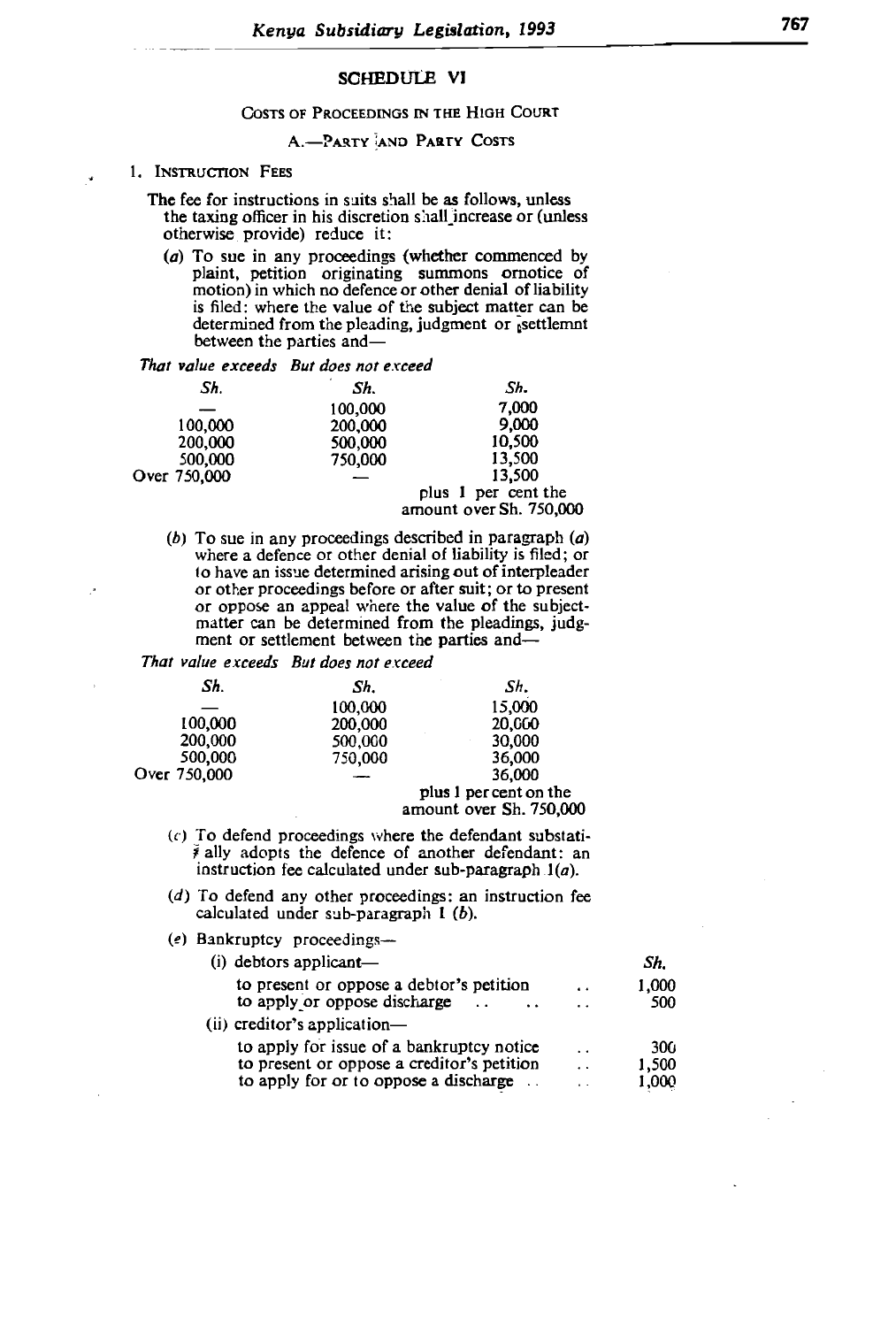#### SCHEDULE VI  $p_{\text{out}}$  origination originating summons of  $p_{\text{out}}$

#### mots of Proceedings in the High Court is for the value of the subject matter can be value of the subject matter can be value of the subject matter can be value of the subject matter can be value of the subject matter can be value of the subject matter can be v

#### A.-PARTY AND PARTY COSTS between the parties and-

## *That value exceeds But does not exceed*

*Sh. Sh. Sh.* on shan increase of *funess* 200,000 9,000 otherwise provide) reduce it:

otherwise provide) reduce it:

in any proceedings (whether commenced by t (wheth petition originating summons ornotice of notion) in which no defence or other denial of liability is filed: where the value of the subject matter can be determined from the pleading, judgment or estimated between the parties and-

 $\sum_{i=1}^{n} b_i$  To sue in any proceeding described in paragraph (a) eas but does not exceed

| Sh.          | Sh.     | Sh.                     |  |
|--------------|---------|-------------------------|--|
|              | 100,000 | 7,000                   |  |
| 100,000      | 200,000 | 9,000                   |  |
| 200,000      | 500,000 | 10.500                  |  |
| 500,000      | 750,000 | 13,500                  |  |
| Over 750,000 |         | 13,500                  |  |
|              |         | plus 1 per cent the     |  |
|              |         | amount over Sh. 750,000 |  |

 $\ldots$   $\ldots$   $\ldots$ in any proceedings described in paragraph  $(a)$ where a defence or other denial of liability is filed; or to have an issue determined arising out of interpleader or other proceedings before or after suit; or to present or oppose an appeal where the value of the subjectmatter can be determined from the pleadings, judg-<br>ment or settlement between the parties and— (c) To definition between the parties and

|              | I hat value exceeds But does not exceed |                        |  |
|--------------|-----------------------------------------|------------------------|--|
| Sh.          | Sh.                                     | Sh.                    |  |
|              | 100,000                                 | 15,000                 |  |
| 100,000      | 200,000                                 | 20,000                 |  |
| 200,000      | 500,000                                 | 30,000                 |  |
| 500,000      | 750,000                                 | 36,000                 |  |
| Over 750,000 |                                         | 36,000                 |  |
|              |                                         | plus 1 per cent on the |  |
|              |                                         | amount over Sh 750,000 |  |

- amount over  $\mathbf{5}$ 0.  $750,000$ (c) To defend proceedings where the defendant substati-<br> $\bar{\ast}$  ally adopts the defence of another defendant: an to determine of another determined  $\lim_{\Delta t \to 0}$
- $t$  calculated under sub-paragraph  $t(a)$ . (d) To defend any other proceedings: an instruction fee calculated under sub-paragraph  $1$  (b).
- (e) Bankruptcy proceedings-

| $(i)$ debtors applicant—                       |                      | Sh.             |
|------------------------------------------------|----------------------|-----------------|
| to present or oppose a debtor's petition       | $\ddot{\phantom{0}}$ | 1.000           |
| to apply or oppose discharge                   | . .                  | 500             |
| $(ii)$ creditor's application-                 |                      |                 |
| to apply for issue of a bankruptcy notice      | $\ddot{\phantom{0}}$ | 30 <sub>0</sub> |
| to present or oppose a creditor's petition     | $\ddot{\phantom{0}}$ | 1,500           |
| to apply for or to oppose a discharge $\ldots$ |                      | 1,000           |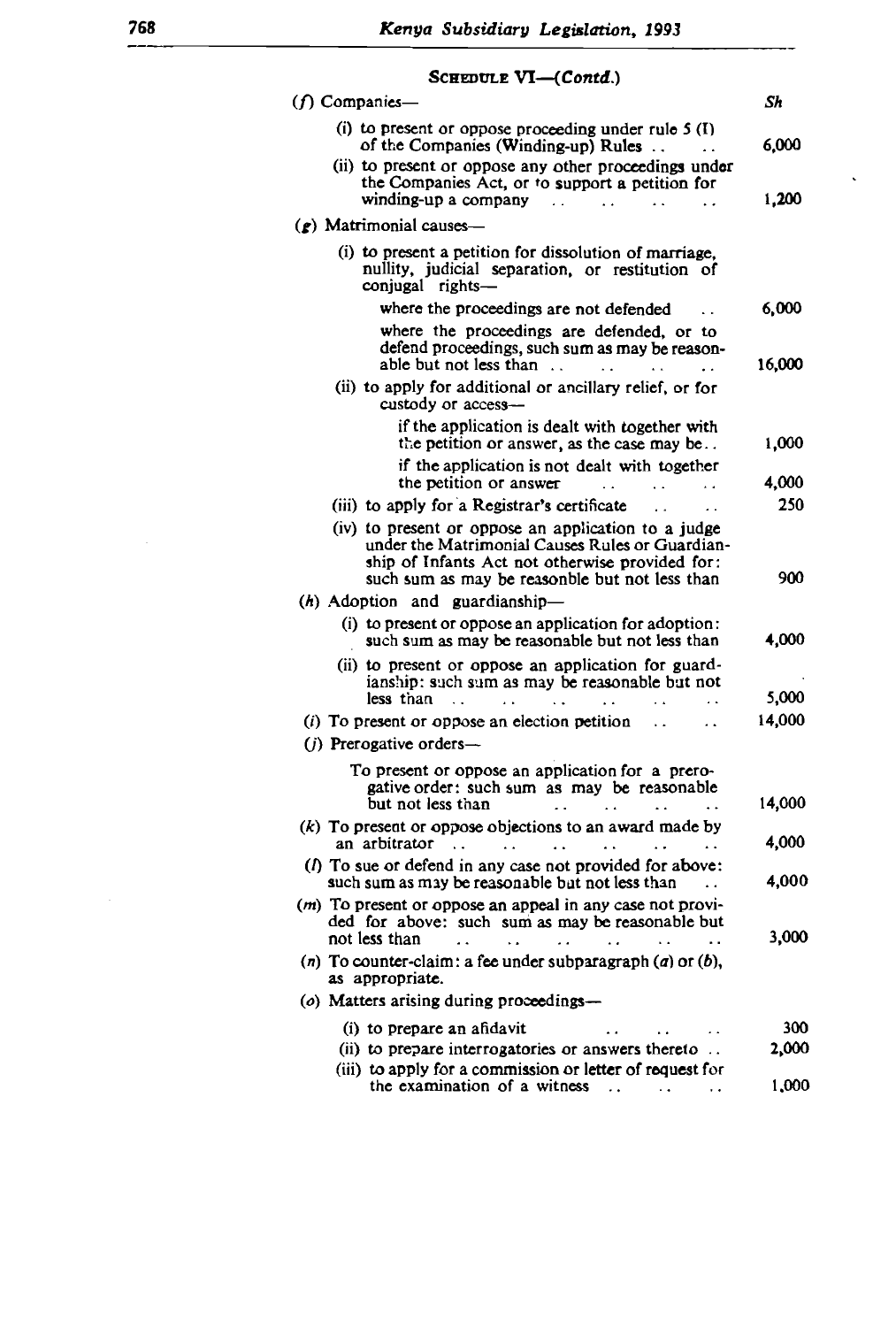## $S$ CHEDITI E  $VI$  (Contd.)

16,000

| ocococce vi-<br>1601.LL.                                                                                                                           |              |
|----------------------------------------------------------------------------------------------------------------------------------------------------|--------------|
| (f) Companies-                                                                                                                                     | Sh           |
| (i) to present or oppose proceeding under rule $5(1)$<br>of the Companies (Winding-up) Rules                                                       | 6,000        |
| (ii) to present or oppose any other proceedings under<br>the Companies Act, or to support a petition for<br>winding-up a company<br>$\sim$         | 1,200        |
| $\mathcal{L}$ ) Matrimonial causes-                                                                                                                |              |
| (i) to present a petition for dissolution of marriage,<br>nullity, judicial separation, or restitution of<br>conjugal rights-                      |              |
| where the proceedings are not defended<br>$\ddot{\phantom{a}}$                                                                                     | 6,000        |
| where the proceedings are defended, or to                                                                                                          |              |
| defend proceedings, such sum as may be reason-<br>able but not less than                                                                           | 16,000       |
| (ii) to apply for additional or ancillary relief, or for<br>custody or access-                                                                     |              |
| if the application is dealt with together with<br>the petition or answer, as the case may be                                                       | 1,000        |
| if the application is not dealt with together<br>the petition or answer<br>$\mathbf{r}$                                                            | 4,000        |
| (iii) to apply for a Registrar's certificate<br>$\ddot{\phantom{0}}$<br>$\alpha$ .                                                                 | 250          |
| (iv) to present or oppose an application to a judge<br>under the Matrimonial Causes Rules or Guardian-                                             |              |
| ship of Infants Act not otherwise provided for:<br>such sum as may be reasonble but not less than                                                  | 900          |
| $(h)$ Adoption and guardianship-                                                                                                                   |              |
| (i) to present or oppose an application for adoption:<br>such sum as may be reasonable but not less than                                           | 4,000        |
| (ii) to present or oppose an application for guard-<br>ianship: such sum as may be reasonable but not                                              | 5,000        |
| less than<br>$\ddot{\phantom{a}}$<br>$(i)$ To present or oppose an election petition                                                               | 14,000       |
| $(i)$ Prerogative orders—                                                                                                                          |              |
| To present or oppose an application for a prero-                                                                                                   |              |
| gative order: such sum as may be reasonable<br>but not less than                                                                                   | 14,000       |
| $(k)$ To present or oppose objections to an award made by                                                                                          |              |
| an arbitrator<br>$\sim 10$<br>$\ddot{\phantom{a}}$<br>$\ddot{\phantom{1}}$                                                                         | 4,000        |
| (f) To sue or defend in any case not provided for above:<br>such sum as may be reasonable but not less than                                        | 4,000        |
| (m) To present or oppose an appeal in any case not provi-<br>ded for above: such sum as may be reasonable but                                      |              |
| not less than<br><b>Contract Contract</b><br>$\sim$ $\sim$<br><b>Contractor</b><br>(n) To counter-claim: a fee under subparagraph $(a)$ or $(b)$ , | 3,000        |
| as appropriate.<br>(o) Matters arising during proceedings-                                                                                         |              |
|                                                                                                                                                    |              |
| (i) to prepare an afidavit<br>(ii) to prepare interrogatories or answers thereto                                                                   | 300<br>2,000 |
| (iii) to apply for a commission or letter of request for                                                                                           |              |
| the examination of a witness<br>$\ddot{\phantom{0}}$                                                                                               | 1,000        |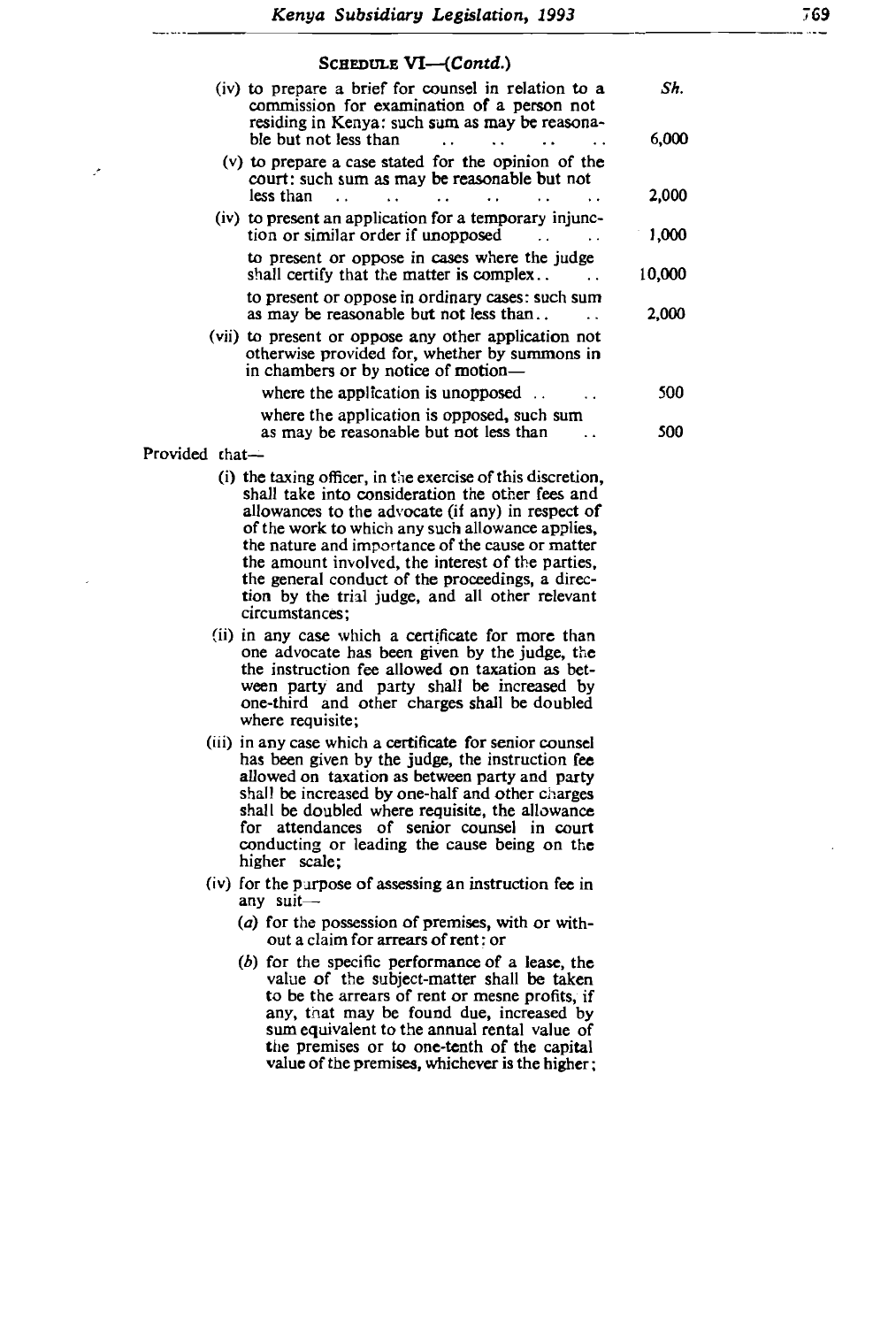(iv) to present an application for a temporary injuries  $\mathcal{L}$ 

# $\text{Common} = \text{UT}$  (Contd)

| (iv) to prepare a brief for counsel in relation to a<br>commission for examination of a person not<br>residing in Kenya: such sum as may be reasona-<br>ble but not less than | Sh.<br>6.000 |
|-------------------------------------------------------------------------------------------------------------------------------------------------------------------------------|--------------|
| $(v)$ to prepare a case stated for the opinion of the<br>court: such sum as may be reasonable but not<br>less than<br>$\ddot{\phantom{a}}$                                    | 2,000        |
| (iv) to present an application for a temporary injunc-<br>tion or similar order if unopposed                                                                                  | 1,000        |
| to present or oppose in cases where the judge<br>shall certify that the matter is complex                                                                                     | 10,000       |
| to present or oppose in ordinary cases: such sum<br>as may be reasonable but not less than                                                                                    | 2.000        |
| (vii) to present or oppose any other application not<br>otherwise provided for, whether by summons in<br>in chambers or by notice of motion—                                  |              |
| where the application is unopposed $\ldots$                                                                                                                                   | 500          |
| where the application is opposed, such sum<br>as may be reasonable but not less than                                                                                          | 500          |
| ていへん                                                                                                                                                                          |              |

Provided that

- $(i)$  the taxing officer, in the exercise of this discretion, shall take into consideration the other fees and allowances to the advocate (if any) in respect of of the work to which any such allowance applies, the nature and importance of the cause or matter the amount involved, the interest of the parties. the general conduct of the proceedings, a direction by the trial judge, and all other relevant circumstances:
- (ii) in any case which a certificate for more than one advocate has been given by the judge, the the instruction fee allowed on taxation as between party and party shall be increased by one-third and other charges shall be doubled where requisite;
- (iii) in any case which a certificate for senior counsel has been given by the judge, the instruction fee allowed on taxation as between party and party shall be increased by one-half and other charges shall be doubled where requisite, the allowance for attendances of senior counsel in court conducting or leading the cause being on the higher scale;  $t$
- (iv) for the purpose of assessing an instruction fee in any suit-
	- (a) for the possession of premises, with or without a claim for arrears of rent: or
	- $(b)$  for the specific performance of a lease, the value of the subject-matter shall be taken to be the arrears of rent or mesne profits, if any, that may be found due, increased by sum equivalent to the annual rental value of the premises or to one-tenth of the capital value of the premises, whichever is the higher;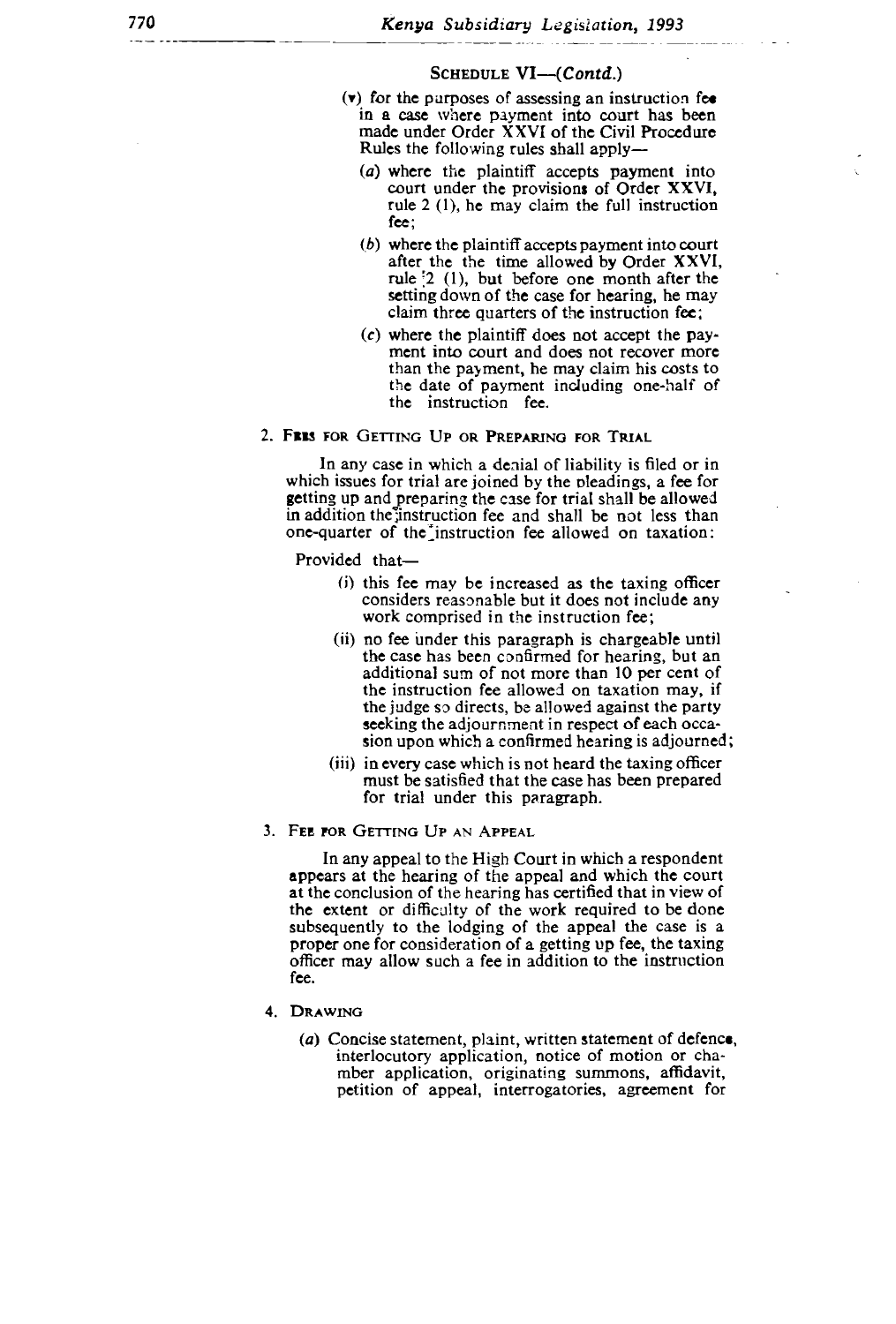#### $\mathcal{L}$  or where the planet into court  $\mathcal{L}$ HEDULE  $V1 \rightarrow (Conta.)$

- $(v)$  for the purposes of assessing an instruction fee in a case where payment into court has been made under Order XXVI of the Civil Procedure Rules the following rules shall apply-
	- (a) where the plaintiff accepts payment into court under the provisions of Order XXVI, rule  $2(1)$ , he may claim the full instruction the instruction fee.  $fcc$ :
	- (b) where the plaintiff accepts payment into court<br>after the the time allowed by Order XXVI, rule  $\left[2\right]$  (1), but before one month after the setting down of the case for hearing, he may claim three quarters of the instruction fee;
	- $(c)$  where the plaintiff does not accept the payment into court and does not recover more than the payment, he may claim his costs to<br>the date of payment including one-half of the instruction fee. considers reasonable but it does not include any

#### 2. FEES FOR GETTING UP OR PREPARING FOR TRIAL

In any case in which a denial of liability is filed or in which issues for trial are joined by the pleadings, a fee for getting up and preparing the case for trial shall be allowed ating the case for that shall be allowed  $\frac{1}{2}$  $t_{\text{interaction}}$  is allowed against the particle one-quarter of the instruction fee allowed on taxation:

Provided that-

- $(i)$  this fee may be increased as the taxing officer considers reasonable but it does not include any work comprised in the instruction fee;
- (ii) no fee under this paragraph is chargeable until<br>the case has been confirmed for hearing, but an additional sum of not more than 10 per cent of the instruction fee allowed on taxation may, if the judge so directs, be allowed against the party seeking the adjournment in respect of each occasion upon which a confirmed hearing is adjourned;
- (iii) in every case which is not heard the taxing officer must be satisfied that the case has been prepared for trial under this paragraph.
- 3. FEE FOR GETTING UP AN APPEAL

In any appeal to the High Court in which a respondent appears at the hearing of the appeal and which the court at the conclusion of the hearing has certified that in view of the extent or difficulty of the work required to be done subsequently to the lodging of the appeal the case is a proper one for consideration of a getting up fee, the taxing officer may allow such a fee in addition to the instruction fee.

- 4. DRAWING
	- (a) Concise statement, plaint, written statement of defence, interlocutory application, notice of motion or chamber application, originating summons, affidavit, petition of appeal, interrogatories, agreement for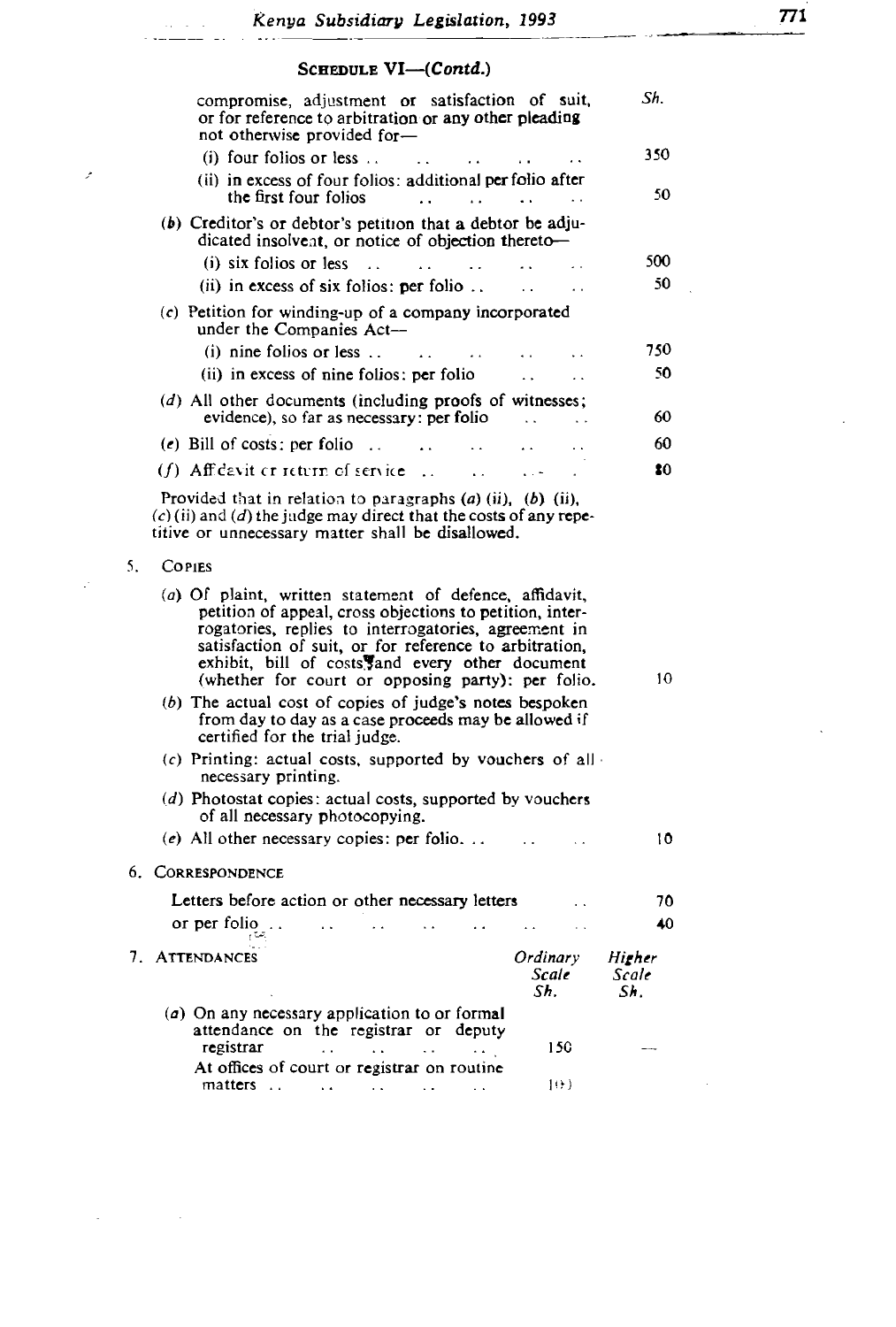ر<br>در در بار<br>سیستان

 $\bar{\mathcal{F}}$ 

 $\hat{\varphi}^{\dagger}$ 

 $\sim$ 

 $\mathcal{L}$  creditors or debtor be adjusted by a debtor be adjusted by a debtor be adjusted by a debtor be adjusted by

# $\alpha_{\text{meas}} = \text{ML}$  ( $\alpha_{\text{on}}(t)$ )

| compromise, adjustment or satisfaction of suit,                                                                                                                                                                                                                                    |                          |                        |
|------------------------------------------------------------------------------------------------------------------------------------------------------------------------------------------------------------------------------------------------------------------------------------|--------------------------|------------------------|
| or for reference to arbitration or any other pleading<br>not otherwise provided for-                                                                                                                                                                                               |                          | Sh.                    |
| (i) four folios or less<br>$\sim$ $\sim$                                                                                                                                                                                                                                           |                          | 350                    |
| (ii) in excess of four folios: additional per folio after<br>the first four folios.<br>$\mathbf{A}$                                                                                                                                                                                |                          | 50                     |
| $(b)$ Creditor's or debtor's petition that a debtor be adju-<br>dicated insolvent, or notice of objection thereto-                                                                                                                                                                 |                          |                        |
| (i) six folios or less $\ldots$<br>$\mathbf{A}$<br>$\ddot{\phantom{0}}$                                                                                                                                                                                                            |                          | 500                    |
| (ii) in excess of six folios: per folio                                                                                                                                                                                                                                            |                          | 50                     |
| (c) Petition for winding-up of a company incorporated<br>under the Companies Act-                                                                                                                                                                                                  |                          |                        |
| $(i)$ nine folios or less<br>$\mathbf{r}$<br>$\ddot{\phantom{0}}$                                                                                                                                                                                                                  | $\ddot{\phantom{a}}$     | 750                    |
| (ii) in excess of nine folios: per folio<br>$\mathbf{r}$                                                                                                                                                                                                                           | $\mathbf{r}$             | 50                     |
| (d) All other documents (including proofs of witnesses;<br>evidence), so far as necessary: per folio<br>$\sim$ 100 $\mu$                                                                                                                                                           |                          | 60                     |
| (e) Bill of costs; per folio.<br>$\ddot{\phantom{a}}$<br>$\mathbf{A}^{\text{out}}$<br>$\mathbf{r}$ .                                                                                                                                                                               |                          | 60                     |
| (f) Afficavit er return of service<br>$\sim$ $\sim$<br>$\ddot{\phantom{a}}$                                                                                                                                                                                                        |                          | 80                     |
| titive or unnecessary matter shall be disallowed.<br><b>COPIES</b>                                                                                                                                                                                                                 |                          |                        |
| (a) Of plaint, written statement of defence, affidavit,                                                                                                                                                                                                                            |                          |                        |
| petition of appeal, cross objections to petition, inter-<br>rogatories, replies to interrogatories, agreement in<br>satisfaction of suit, or for reference to arbitration,<br>exhibit, bill of costs and every other document<br>(whether for court or opposing party): per folio. |                          | 10                     |
| $(b)$ The actual cost of copies of judge's notes bespoken<br>from day to day as a case proceeds may be allowed if<br>certified for the trial judge.                                                                                                                                |                          |                        |
| $(c)$ Printing: actual costs, supported by vouchers of all<br>necessary printing.                                                                                                                                                                                                  |                          |                        |
| (d) Photostat copies: actual costs, supported by vouchers<br>of all necessary photocopying.                                                                                                                                                                                        |                          |                        |
| (e) All other necessary copies: per folio                                                                                                                                                                                                                                          |                          | 10                     |
| 6. CORRESPONDENCE                                                                                                                                                                                                                                                                  |                          |                        |
| Letters before action or other necessary letters                                                                                                                                                                                                                                   |                          | 70                     |
| or per folio                                                                                                                                                                                                                                                                       | $\sim$ $\sim$            | 40                     |
| 7. ATTENDANCES                                                                                                                                                                                                                                                                     | Ordinary<br>Scale<br>Sh. | Higher<br>Scale<br>Sh. |
| (a) On any necessary application to or formal<br>attendance on the registrar or deputy                                                                                                                                                                                             |                          |                        |
| registrar<br>and the state of the state<br>At offices of court or registrar on routine                                                                                                                                                                                             | 150                      |                        |

771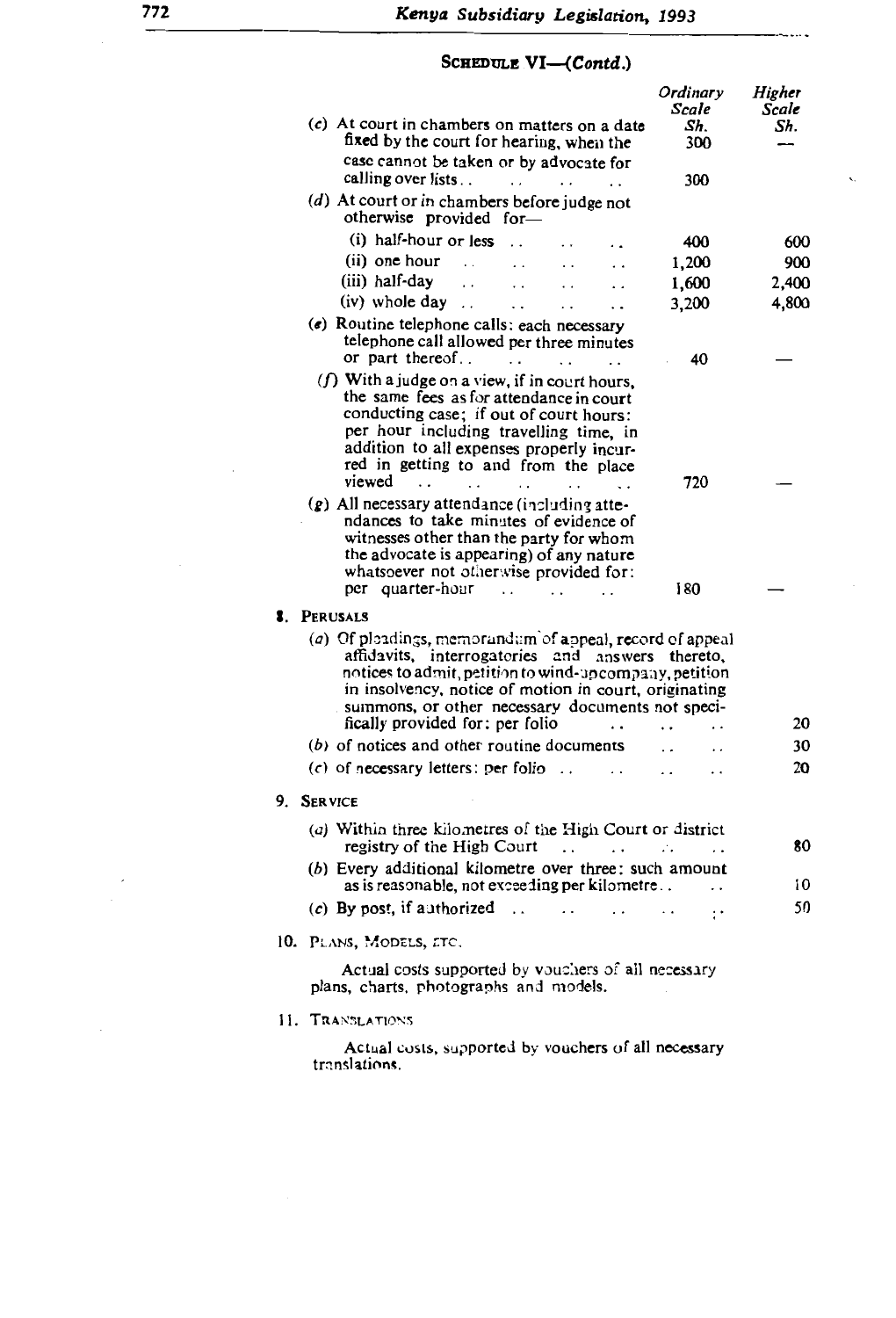## SCHEDULE VI-

| (c) At court in chambers on matters on a date<br>fixed by the court for hearing, when the<br>case cannot be taken or by advocate for                                                                                                                                                                                                      | Ordinary<br>Scale<br>Sh.<br>300 | Higher<br>Scale<br>Sh. |
|-------------------------------------------------------------------------------------------------------------------------------------------------------------------------------------------------------------------------------------------------------------------------------------------------------------------------------------------|---------------------------------|------------------------|
| calling over lists<br>$\cdots$                                                                                                                                                                                                                                                                                                            | 300                             | ۰.                     |
| (d) At court or in chambers before judge not<br>otherwise provided for-                                                                                                                                                                                                                                                                   |                                 |                        |
| (i) half-hour or less                                                                                                                                                                                                                                                                                                                     | 400                             | 600                    |
| (ii) one hour<br>$\ddot{\phantom{0}}$                                                                                                                                                                                                                                                                                                     | 1,200                           | 900                    |
| (iii) half-day<br>$\cdot$ .<br>$\ddot{\phantom{0}}$<br>. .<br>. .                                                                                                                                                                                                                                                                         | 1,600                           | 2,400                  |
| (iv) whole day<br>$\ddot{\phantom{0}}$<br>$\ddot{\phantom{0}}$<br>$\ddot{\phantom{0}}$                                                                                                                                                                                                                                                    | 3,200                           | 4,800                  |
| $(e)$ Routine telephone calls: each necessary<br>telephone call allowed per three minutes<br>or part thereof<br>$\ddot{\phantom{0}}$                                                                                                                                                                                                      | 40                              |                        |
| (f) With a judge on a view, if in court hours,<br>the same fees as for attendance in court<br>conducting case; if out of court hours:<br>per hour including travelling time, in<br>addition to all expenses properly incur-<br>red in getting to and from the place<br>viewed<br>$\ddots$<br>$\ddot{\phantom{a}}$<br>$\ddot{\phantom{a}}$ | 720                             |                        |
| $(g)$ All necessary attendance (including atte-<br>ndances to take minutes of evidence of<br>witnesses other than the party for whom<br>the advocate is appearing) of any nature<br>whatsoever not otherwise provided for:<br>per quarter-hour<br>$\ddot{\phantom{0}}$                                                                    | 180                             |                        |
| <b>8.</b> PERUSALS                                                                                                                                                                                                                                                                                                                        |                                 |                        |
| (a) Of pleadings, memorandum of appeal, record of appeal<br>affidavits, interrogatories and answers<br>notices to admit, petition to wind-upcompany, petition<br>in insolvency, notice of motion in court, originating<br>summons, or other necessary documents not speci-<br>fically provided for: per folio                             | thereto.                        | 20                     |
| $(b)$ of notices and other routine documents                                                                                                                                                                                                                                                                                              |                                 | 30                     |
| $(c)$ of necessary letters: per folio<br>$\ddot{\phantom{0}}$                                                                                                                                                                                                                                                                             |                                 | 20                     |
| 9. SERVICE                                                                                                                                                                                                                                                                                                                                |                                 |                        |
| (a) Within three kilometres of the High Court or district<br>registry of the High Court<br>$\ddot{\phantom{0}}$<br>$\cdot$ .                                                                                                                                                                                                              | И.                              | 80                     |
| (b) Every additional kilometre over three: such amount<br>as is reasonable, not exceeding per kilometre                                                                                                                                                                                                                                   |                                 | 10                     |
| (c) By post, if authorized $\ldots$ . $\ldots$                                                                                                                                                                                                                                                                                            |                                 | 50                     |
| 10. PLANS, MODELS, ETC.                                                                                                                                                                                                                                                                                                                   |                                 |                        |
| Actual costs supported by vouchers of all necessary<br>plans, charts, photographs and models.                                                                                                                                                                                                                                             |                                 |                        |
| 11. TRANSLATIONS                                                                                                                                                                                                                                                                                                                          |                                 |                        |
| Actual costs, supported by vouchers of all necessary<br>translations.                                                                                                                                                                                                                                                                     |                                 |                        |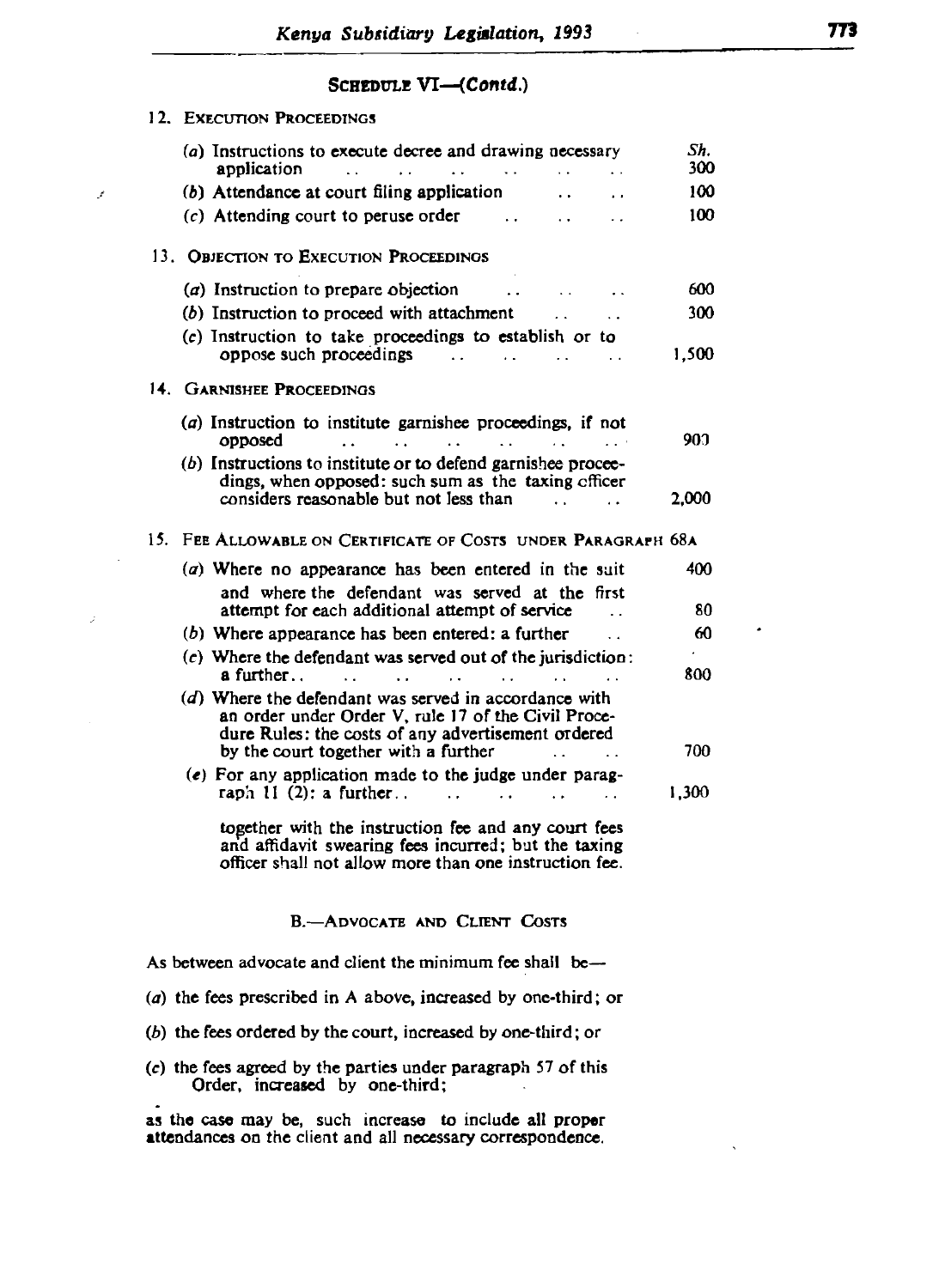oppose such proceedings 1.500 million in the control of the control of the control of the control of the control of

### SCHEDULE VI-(Contd.)

 $\mathcal{L}$ 

 $\hat{z}$ 

| IZ. EXECUTION PROCEEDINGS                                                                                                                                                                                  |            |
|------------------------------------------------------------------------------------------------------------------------------------------------------------------------------------------------------------|------------|
| (a) Instructions to execute decree and drawing necessary<br>application<br>$\mathbf{L}(\mathbf{X})$ and<br>$\sim 100$ km s $^{-1}$<br>$\sim$ $\sim$<br>$\sim 100$                                          | Sh.<br>300 |
| (b) Attendance at court filing application<br>$\ddot{\phantom{a}}$<br>$\ddot{\phantom{a}}$                                                                                                                 | 100        |
| $(c)$ Attending court to peruse order<br>$\sim$ $\sim$<br>$\ddot{\phantom{a}}$                                                                                                                             | 100        |
| 13. OBJECTION TO EXECUTION PROCEEDINGS                                                                                                                                                                     |            |
| (a) Instruction to prepare objection<br>$\ddot{\phantom{a}}$<br><b>Contractor</b><br>$\ddot{\phantom{a}}$                                                                                                  | 600        |
| (b) Instruction to proceed with attachment<br>$\mathbf{r}$                                                                                                                                                 | 300        |
| (c) Instruction to take proceedings to establish or to<br>oppose such proceedings<br>$\sim 10^{11}$ and $\sim 10^{11}$<br><b>Contract Contract</b><br>$\sim 100$ km s $^{-1}$                              | 1,500      |
| 14. GARNISHEE PROCEEDINGS                                                                                                                                                                                  |            |
| (a) Instruction to institute garnishee proceedings, if not<br>opposed<br>$\ddotsc$<br>$\mathcal{L}^{\text{max}}$ and $\mathcal{L}^{\text{max}}$<br>$\sim 10^{-11}$                                         | 900.       |
| (b) Instructions to institute or to defend garnishee procee-<br>dings, when opposed: such sum as the taxing efficer<br>considers reasonable but not less than                                              | 2,000      |
| 15. Fee Allowable on Certificate of Costs under Paragraph 68a                                                                                                                                              |            |
| (a) Where no appearance has been entered in the suit<br>and where the defendant was served at the first                                                                                                    | 400        |
| attempt for each additional attempt of service                                                                                                                                                             | 80         |
| $(b)$ Where appearance has been entered: a further                                                                                                                                                         | 60         |
| $(c)$ Where the defendant was served out of the jurisdiction:<br>a further<br>$\sim$ 100 $\mu$<br>$\sim 10^{-1}$<br>$\sim$<br>$\sim 10^{-1}$                                                               | 800        |
| (d) Where the defendant was served in accordance with<br>an order under Order V, rule 17 of the Civil Proce-<br>dure Rules: the costs of any advertisement ordered<br>by the court together with a further | 700        |
| (e) For any application made to the judge under parag-<br>raph $11(2)$ : a further<br>$\sim$ $\sim$<br>$\ddotsc$<br>$\ddot{\phantom{a}}$<br>$\sim$ .                                                       | 1,300      |
| together with the instruction fee and any court fees<br>and affidavit swearing fees incurred; but the taxing<br>officer shall not allow more than one instruction fee.                                     |            |
| <b>B.-ADVOCATE AND CLIENT COSTS</b>                                                                                                                                                                        |            |
| As between advocate and client the minimum fee shall be—                                                                                                                                                   |            |
| (a) the fees prescribed in A above, increased by one-third; or                                                                                                                                             |            |
| $(b)$ the fees ordered by the court, increased by one-third; or                                                                                                                                            |            |
| (c) the fees agreed by the parties under paragraph 57 of this<br>Order, increased by one-third;                                                                                                            |            |

as the case may be, such increase to include all proper attendances on the client and all necessary correspondence.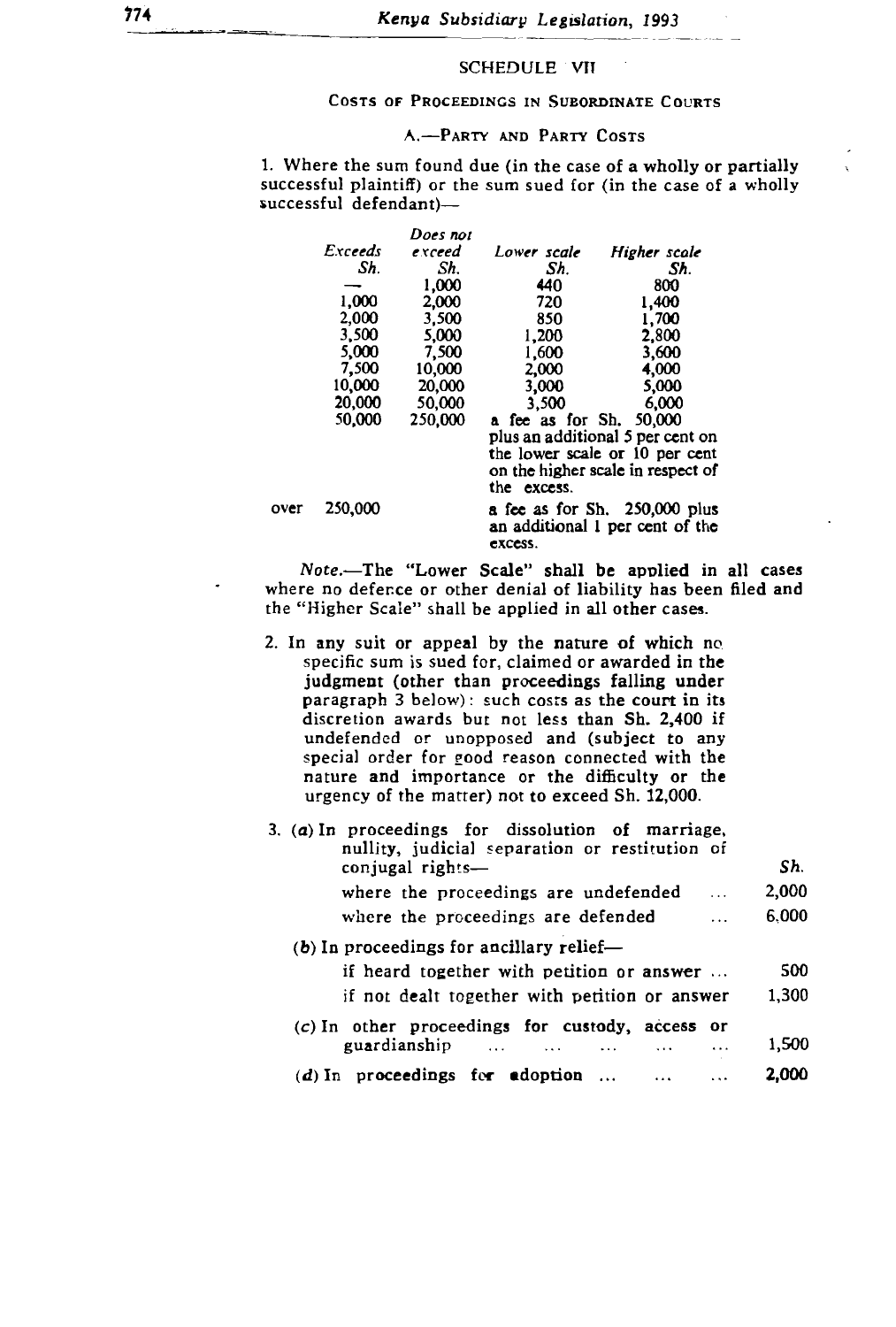# *Does not* ~xcud *Lower scale Higher scale*

#### 1,000 NGS *Sh. Sh. Sh.* dinate Courts

#### $\sum_{i=1}^{n}$ 1,000 A.-PARTY AND PARTY COSTS 720 1,400

 $5,000$ ie (1<mark>n</mark>  $f(t)$  or the sum sued for (in the case of a  $\overline{3}$ n tou successful defendant)-1,200 2,200 2,200 2,200 2,200 2,200 2,200 2,200 2,200 2,200 2,200 2,200 2,200 2,200 2,200 2,200 2,200 2,200 2,200 2,200 2,200 2,200 2,200 2,200 2,200 2,200 2,200 2,200 2,200 2,200 2,200 2,200 2,200 2,200 2,200 2,200 2,200 e of a wholly or pa

|      |         | Does not |                         |                                   |
|------|---------|----------|-------------------------|-----------------------------------|
|      | Exceeds | exceed   | Lower scale             | Higher scale                      |
|      | Sh.     | Sh.      | Sh.                     | Sh.                               |
|      |         | 1.000    | 440                     | 800                               |
|      | 1,000   | 2.000    | 720                     | 1.400                             |
|      | 2,000   | 3.500    | 850                     | 1,700                             |
|      | 3.500   | 5,000    | 1,200                   | 2.800                             |
|      | 5,000   | 7,500    | 1,600                   | 3,600                             |
|      | 7.500   | 10.000   | 2,000                   | 4,000                             |
|      | 10,000  | 20,000   | 3,000                   | 5,000                             |
|      | 20,000  | 50.000   | 3.500                   | 6,000                             |
|      | 50,000  | 250,000  | a fee as for Sh. 50,000 |                                   |
|      |         |          |                         | plus an additional 5 per cent on  |
|      |         |          |                         | the lower scale or 10 per cent    |
|      |         |          |                         | on the higher scale in respect of |
|      |         |          | the excess.             |                                   |
| over | 250,000 |          |                         | a fee as for Sh. 250,000 plus     |
|      |         |          |                         | an additional 1 per cent of the   |
|      |         |          | excess.                 |                                   |

under order or under and (subject to any or unit of any unopen and (subject to any unit of any unit of any unit Ine "Lower Scale" shall be applied in all case<br>Connected with the light the connected with the connected with the connected with the connected with the connect where no defence or other denial of liability has been filed and the "Higher Scale" shall be applied in all other cases.

2. In any suit or appeal by the nature of which no. specific sum is sued for, claimed or awarded in the judgment (other than proceedings falling under paragraph  $3$  below): such costs as the court in its discretion awards but not less than Sh. 2,400 if undefended or unopposed and (subject to any special order for good reason connected with the<br>nature and importance or the difficulty or the urgency of the matter) not to exceed Sh. 12,000.

| 3. (a) In proceedings for dissolution of marriage,<br>nullity, judicial separation or restitution of |       |
|------------------------------------------------------------------------------------------------------|-------|
| conjugal rights-                                                                                     | Sh.   |
| where the proceedings are undefended<br>$\cdots$                                                     | 2,000 |
| where the proceedings are defended                                                                   | 6.000 |
| $(b)$ In proceedings for ancillary relief-                                                           |       |
| if heard together with petition or answer                                                            | 500   |
| if not dealt together with petition or answer                                                        | 1,300 |
| $(c)$ In other proceedings for custody, access<br>- or                                               |       |
| guardianship<br>$\sim$ 1.1.1.<br>$\ddotsc$                                                           | 1,500 |
| $(d)$ In proceedings for adoption                                                                    |       |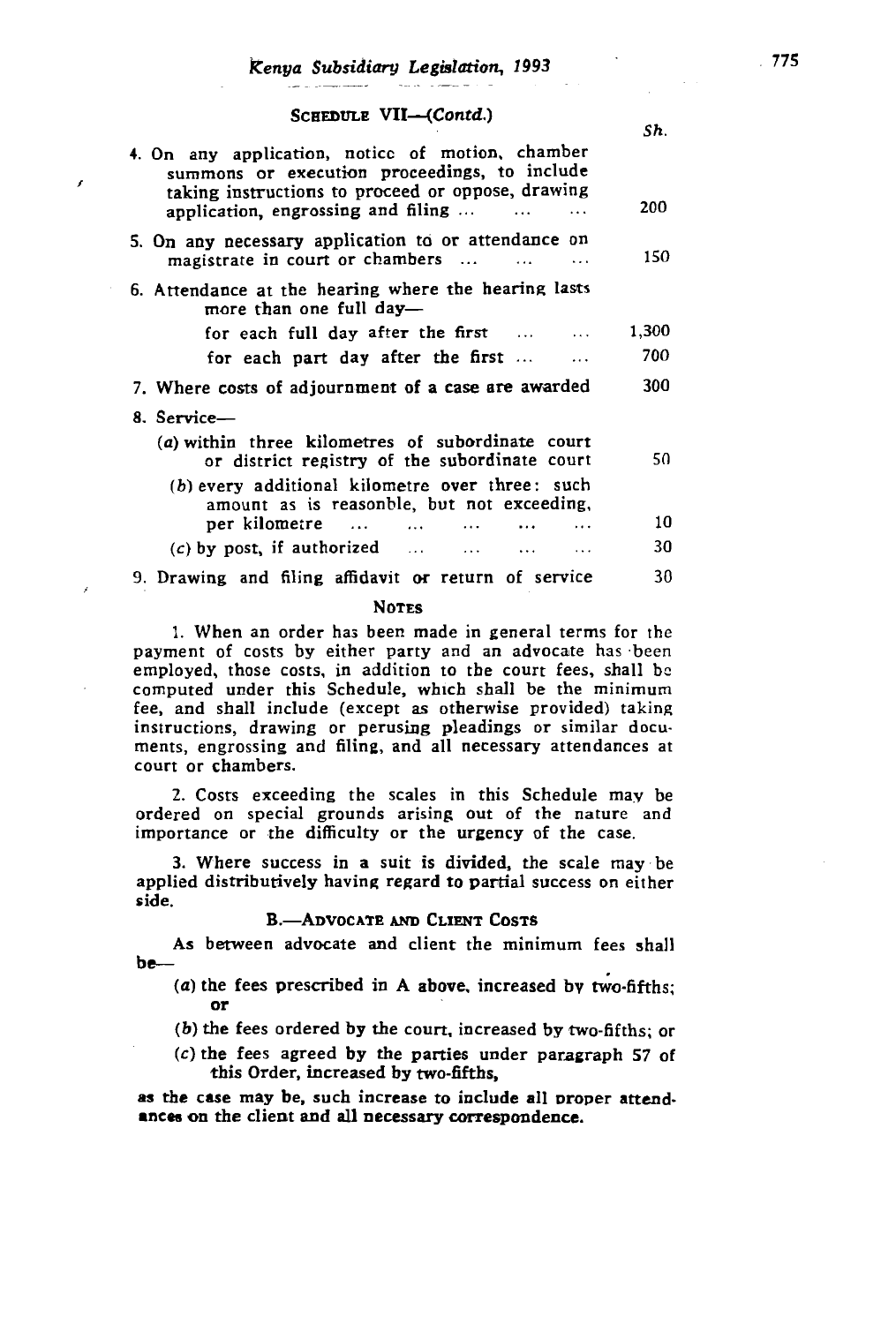| SCHEDULE VII—ICONIA.                                                                                                                                                                                                | Sh.   |
|---------------------------------------------------------------------------------------------------------------------------------------------------------------------------------------------------------------------|-------|
| 4. On any application, notice of motion, chamber<br>summons or execution proceedings, to include<br>taking instructions to proceed or oppose, drawing<br>application, engrossing and filing<br>$\cdots$<br>$\cdots$ | 200   |
| 5. On any necessary application to or attendance on<br>magistrate in court or chambers                                                                                                                              | 150   |
| 6. Attendance at the hearing where the hearing lasts<br>more than one full day-                                                                                                                                     |       |
| for each full day after the first $\dots$                                                                                                                                                                           | 1,300 |
| for each part day after the first                                                                                                                                                                                   | 700   |
| 7. Where costs of adjournment of a case are awarded                                                                                                                                                                 | 300   |
| 8. Service-                                                                                                                                                                                                         |       |
| (a) within three kilometres of subordinate court<br>or district registry of the subordinate court                                                                                                                   | 50    |
| (b) every additional kilometre over three: such<br>amount as is reasonble, but not exceeding,                                                                                                                       |       |
| per kilometre                                                                                                                                                                                                       | 10    |
| $(c)$ by post, if authorized $\ldots$ $\ldots$ $\ldots$                                                                                                                                                             | 30    |
| 9. Drawing and filing affidavit or return of service                                                                                                                                                                | 30    |

## $2.5725$

1. When an order has been made in general terms for the payment of costs by either party and an advocate has been employed, those costs, in addition to the court fees, shall be computed under this Schedule, which shall be the minimum fee, and shall include (except as otherwise provided) taking instructions, drawing or perusing pleadings or similar documents, engrossing and filing, and all necessary attendances at court or chambers.

2. Costs exceeding the scales in this Schedule may be ordered on special grounds arising out of the nature and importance or the difficulty or the urgency of the case.

3. Where success in a suit is divided, the scale may be  $\epsilon$  success in a suit is divided, the searc may be<br>ributively having regard to partial success on either their nating regard to partial such side.

#### B. ADVOCATE AND CLIENT COSTS

As between advocate and client the minimum fees shall be-

- (a) the fees prescribed in A above, increased by two-fifths; or
- $(b)$  the fees ordered by the court, increased by two-fifths; or
- $(c)$  the fees agreed by the parties under paragraph 57 of this Order, increased by two-fifths,

as the case may be, such increase to include all proper attendances on the client and all necessary correspondence.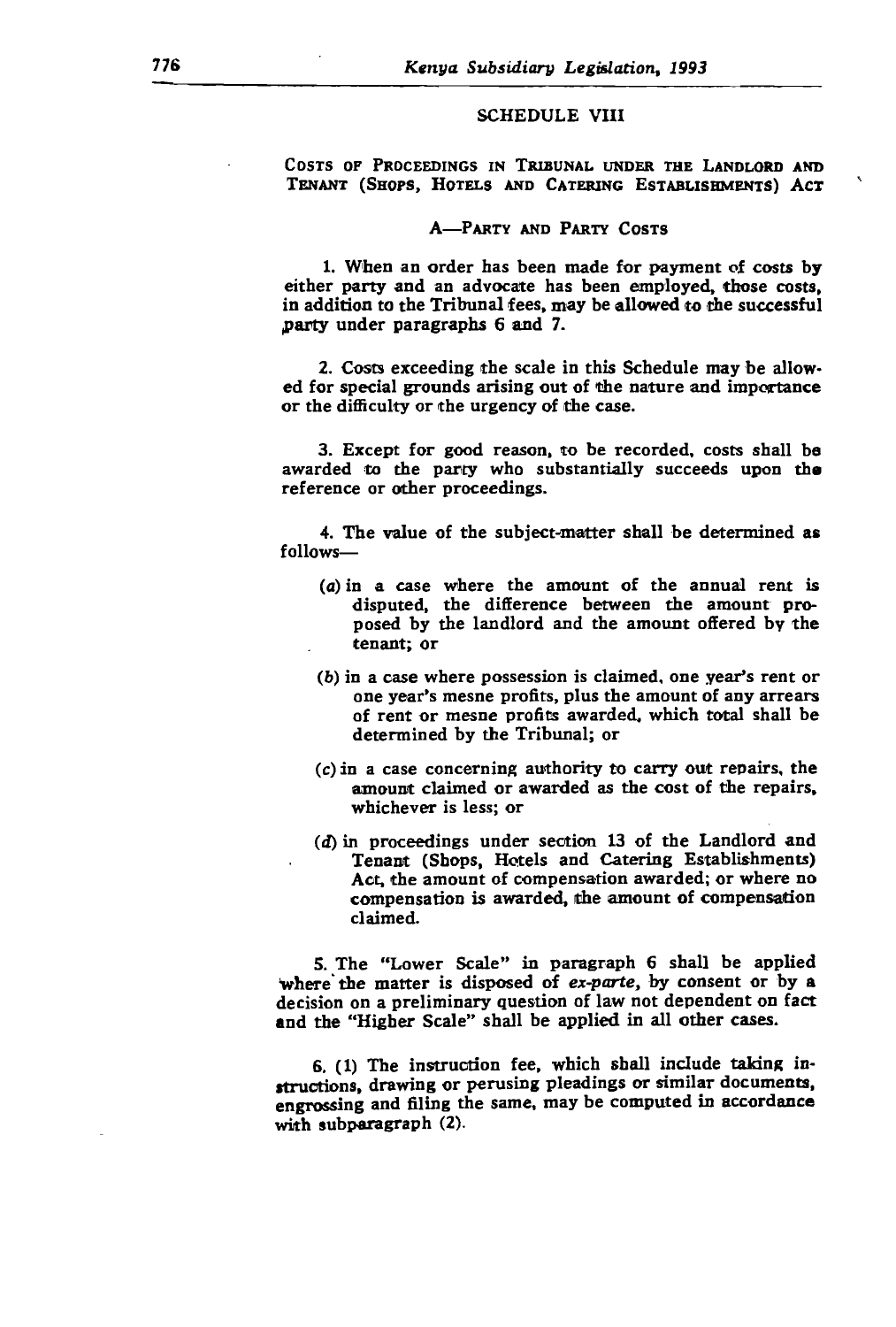### either party and advocate has been employed. The second service costs, and a costs, and a cost service costs, a  $S$ chedule viii

COSTS OF PROCEEDINGS IN TRIBUNAL UNDER THE LANDLORD AND TENANT (SHOPS, HOTELS AND CATERING ESTABLISHMENTS) ACT

#### A-PARTY AND PARTY COSTS

1. When an order has been made for payment of costs by either party and an advocate has been employed, those costs, in addition to the Tribunal fees, may be allowed to the successful<br>party under paragraphs  $6$  and  $7$ .

 $\mathcal{A} = \mathcal{A} \cup \mathcal{A}$  . The value of the subject-matter shall be determined as  $\mathcal{A} = \mathcal{A} \cup \mathcal{A}$ Costs exc ed for special grounds arising out of the nature and importance or the difficulty or the urgency of the case. disputed. the difference between the amount pro-

3. Except for good reason, to be recorded, costs shall be awarded to the party who substantially succeeds upon the reference or other proceedings.

4. The value of the subject-matter shall be determined as follows-

- $(a)$  in a case where the amount of the annual rent is. disputed, the difference between the amount proposed by the landlord and the amount offered by the tenant: or
- (d) in proceedings under section 13 of the Landlord and where possession is claimed, one year's rent or one year's mesne profits, plus the amount of any arrears of rent or mesne profits awarded, which total shall be determined by the Tribunal; or
- $f(c)$  in a case concerning authority to carry out repairs, the amount claimed or awarded as the cost of the repairs, whichever is less; or  $\alpha$  and  $\alpha$  preliminary  $\alpha$
- (d) in proceedings under section 13 of the Landlord and Tenant (Shops, Hotels and Catering Establishments) Act, the amount of compensation awarded; or where no compensation is awarded, the amount of compensation claimed.  $claimed.$

5. The "Lower Scale" in paragraph 6 shall be applied where the matter is disposed of ex-parte, by consent or by a decision on a preliminary question of law not dependent on fact and the "Higher Scale" shall be applied in all other cases.

6. (1) The instruction fee, which shall include taking instructions, drawing or perusing pleadings or similar documents, engrossing and filing the same, may be computed in accordance with subparagraph (2).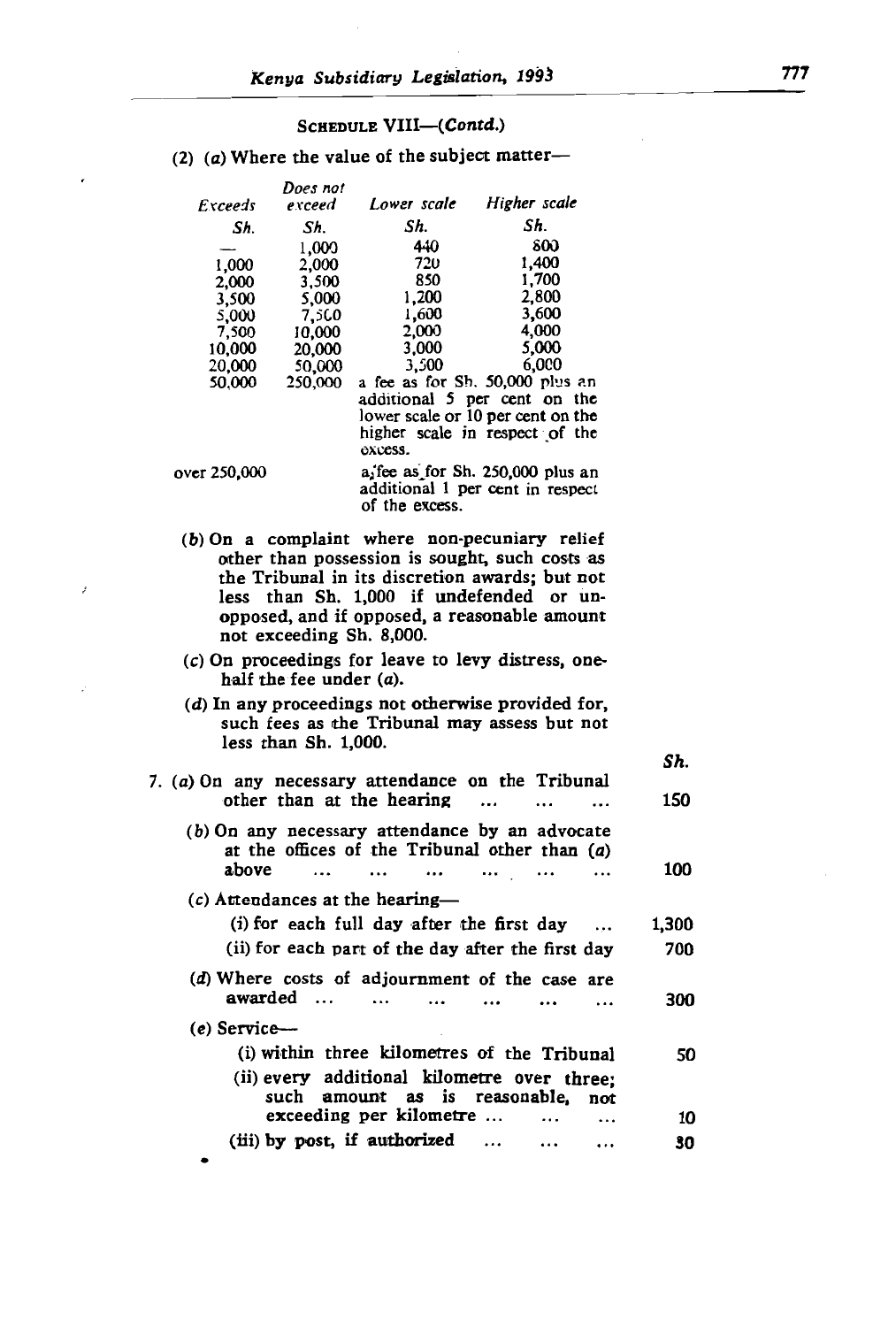850 1,700

ect matter—

#### $\overline{3}$  $5c<sub>0</sub>$ 5,77 7,5(.0  $1,200$  $\ln(a_i)$

 $\overline{\phantom{0}}$ 

 $e$  of  $t$ 

2,000

 $5.5<sub>b</sub>$ 

#### $\frac{3}{2}$ .  $\cdot$  cm<sup>c</sup>  $\overline{\phantom{0}}$ Does not Lower scale Higher scale Exceeds exceed  $\mathbf{c}$ Sh. Sh. lower scale or 10 per cent on the 1.000  $\frac{10}{20}$   $\frac{600}{1400}$ 2,000 1,000 720<br>850  $\begin{array}{cc} 2,000 & 3,500 \\ 3,500 & 5,000 \end{array}$  $\frac{1}{260}$  2,800<br>00 2,800  $5,000$ 7,500  $\frac{1,600}{2,000}$  3,600 7.500 10,000  $\begin{array}{ccccccc} 0 & 20,000 & 3,000 & 0.000 & 0.000 & 0.000 & 0.000 & 0.000 & 0.000 & 0.000 & 0.000 & 0.000 & 0.000 & 0.000 & 0.000 & 0.000 & 0.000 & 0.000 & 0.000 & 0.000 & 0.000 & 0.000 & 0.000 & 0.000 & 0.000 & 0.000 & 0.000 & 0.000 & 0.000 & 0.000 & 0.00$  $50,000$   $3,500$   $6,000$ <br>250,000 a fee as for Sh. 50,000 plus an 50,000  $\alpha$  additional 5 per cent on the lower scale or 10 per cent on the higher scale in respect of the  $a_1$  fee as for Sh, 250,000 plus an over 250,000 a fee as for Sh. 250,000 plus and additional 1 per cent in respect of the excess. (d) In any proceedings not otherwise provided for, mplaint where non-pecuniary relief other than possession is sought, such costs as<br>the Tribunal in its discretion awards; but not less than Sh. 1,000 if undefended or unopposed, and if opposed, a reasonable amount<br>not exceeding Sh. 8,000.  $\frac{1}{2}$  on any  $\frac{1}{2}$  on  $\frac{1}{2}$  any district  $\frac{1}{2}$ earings for teave to tevy distress, one-<br>for under  $(a)$ half the fee under  $(a)$ .<br>(d) In any proceedings not otherwise provided for. such fees as the Tribunal may assess but not less than  $Sh. 1,000$ . (a) On any necessary attendance on the Tribunal  $\mathcal{S}h$ . other than at the hearing  $\dots$   $\dots$   $\dots$  150  $(b)$  On any necessary attendance by an advocate at the offices of the Tribunal other than  $(a)$ above (i) with the three kilometres of the Tribunal  $10$  $(c)$  Attendances at the hearing- $(i)$  for each full day after the first day  $\dots$  1.300 run uay aner me mst uay 700  $\int$  ach part of the day ditch  $\int$ (*d*) Where costs of adjournment of the case are<br>awarded ...  $\cdots$  ... ... ... ... 300  $\ddotsc$  $\ddotsc$  $\ddotsc$  $\ddotsc$  $(e)$  Service--(i) within three kilometres of the Tribunal 50 (ii) every additional kilometre over three: such amount as is reasonable, not exceeding per kilometre ...  $10<sup>1</sup>$  $\ddotsc$  $\ddotsc$ (iii) by post, if authorized 30  $\ddotsc$  $\ddotsc$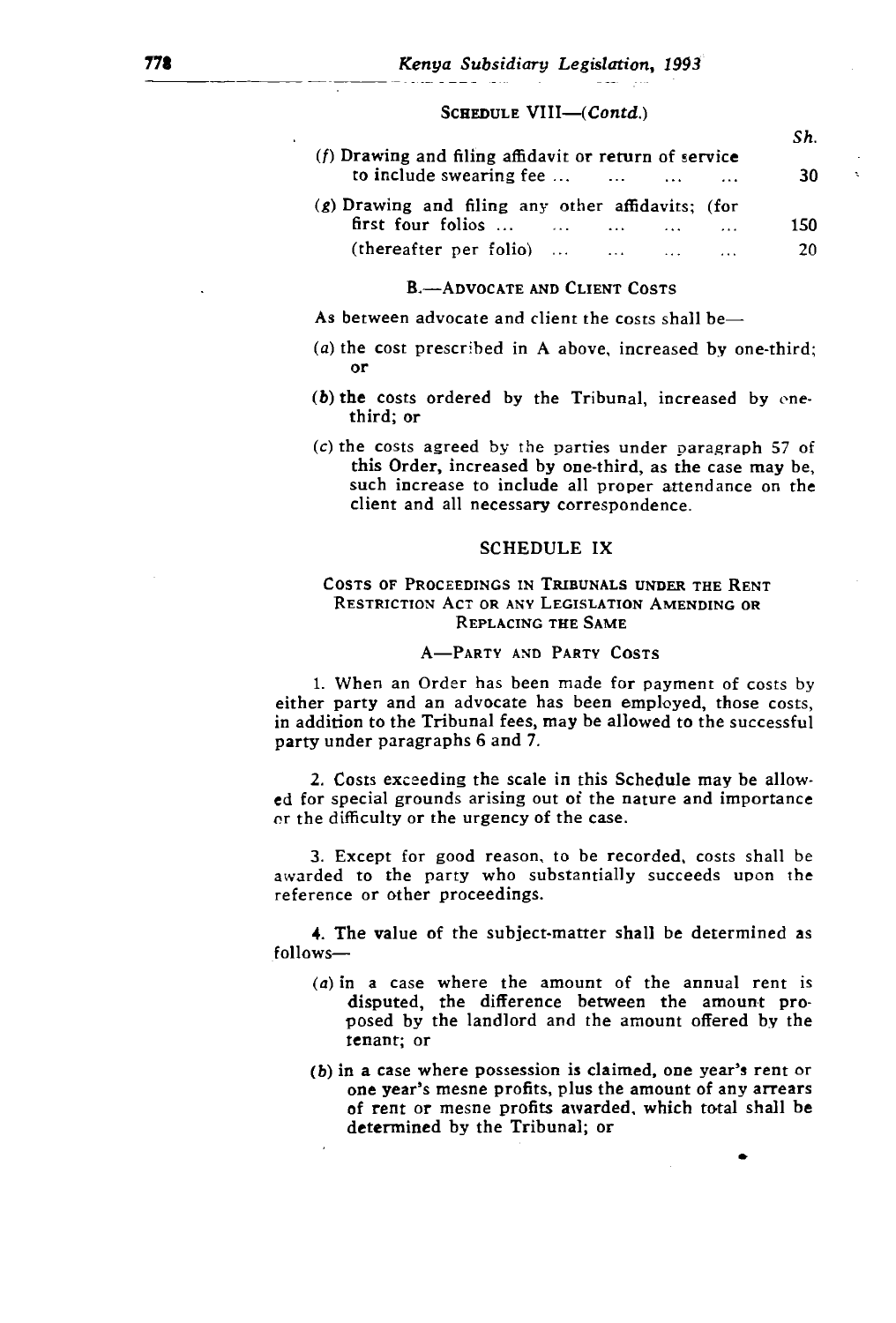#### SCHEDULE VIII-(Contd.)

|                                                                                                                                                            | Sh.       |   |
|------------------------------------------------------------------------------------------------------------------------------------------------------------|-----------|---|
| $(f)$ Drawing and filing affidavit or return of service<br>to include swearing fee $\dots$ $\dots$ $\dots$                                                 | 30        | x |
| $(g)$ Drawing and filing any other affidavits; (for<br>first four folios $\dots$ $\dots$ $\dots$<br>(thereafter per folio) $\dots$ $\dots$<br>$\mathbf{z}$ | 150<br>20 |   |

#### **B.** ADVOCATE AND CLIENT COSTS

such increase to include all proper attendance on the advocate and client the costs shall be—

- $(a)$  the cost prescribed in A above, increased by one-third: 0F
- $(b)$  the costs ordered by the Tribunal, increased by enethird; or RESTRICTION ACT OR ANY LEGISLATION AMENDING OR
- $(c)$  the costs agreed by the parties under paragraph 57 of this Order, increased by one-third, as the case may be, such increase to include all proper attendance on the client and all necessary correspondence. either party and an advocate has been employed, those costs,

#### $\blacksquare$  $\sum_{i=1}^n$

## Costs of Proceedings in Tribunals under the Rent<br>Restriction Act or any Legislation Amending or REPLACING THE SAME or the difficulty or the urgency of the case.

1. When an Order has been made for payment of costs by either party and an advocate has been employed, those costs, in addition to the Tribunal fees, may be allowed to the successful party under paragraphs 6 and 7.

2. Costs exceeding the scale in this Schedule may be allowed for special grounds arising out of the nature and importance or the difficulty or the urgency of the case.

3. Except for good reason, to be recorded, costs shall be awarded to the party who substantially succeeds upon the reference or other proceedings. one you can go we have profit the amount of any arrest of any arrest of any arrest of any arrest of any arrest of any arrest of any arrest of any arrest of any arrest of any arrest of any arrest of any arrest of any arrest

o of the subject-matter shall be determined as determined by the Tribunal; or the Tribunal; or follows-

- $(a)$  in a case where the amount of the annual rent is disputed, the difference between the amount proposed by the landlord and the amount offered by the tenant; or
- (b) in a case where possession is claimed, one year's rent or one year's mesne profits, plus the amount of any arrears of rent or mesne profits awarded, which total shall be determined by the Tribunal; or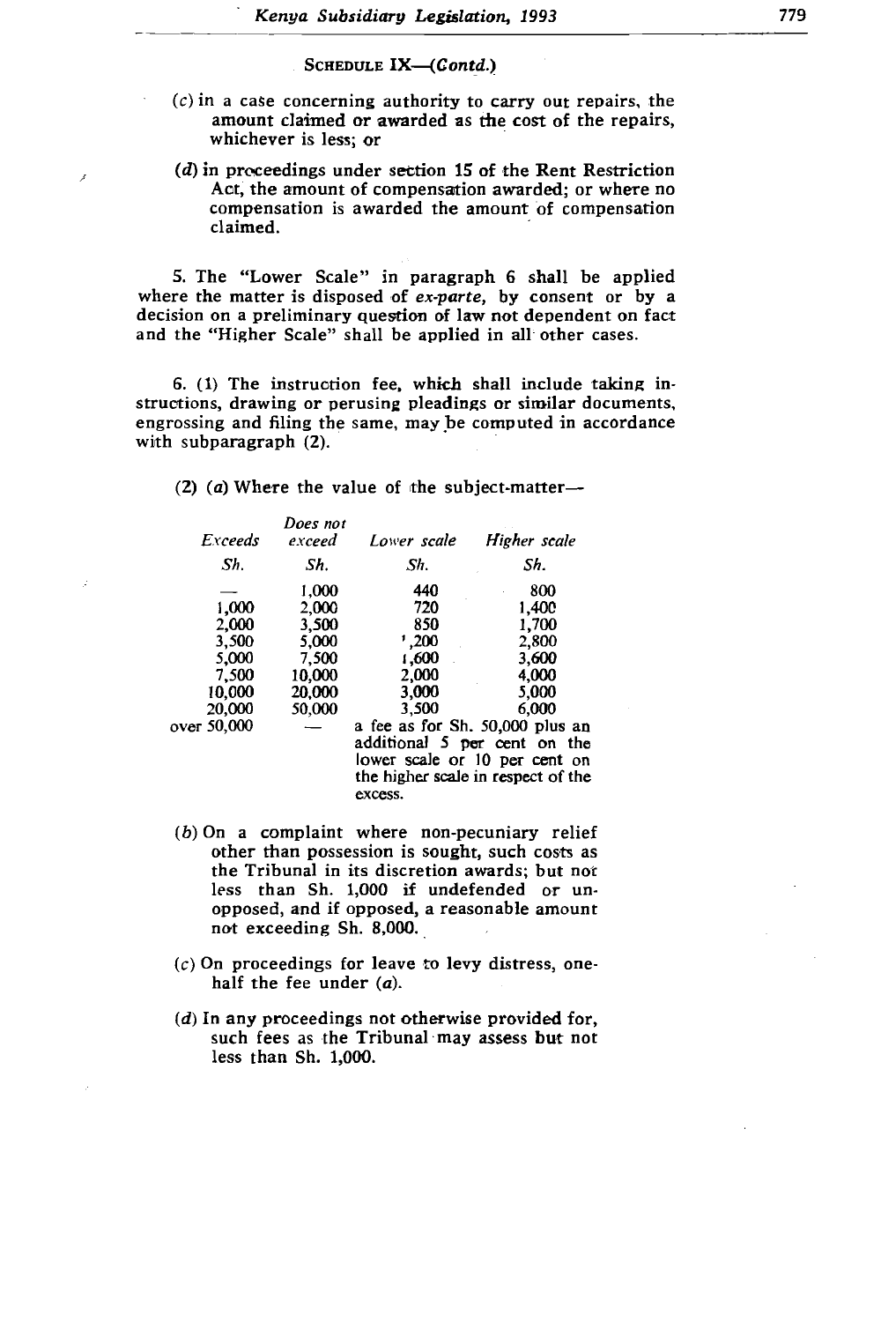- $\overline{c}$ ) in a case concerning authority to carry out repairs, the amount claimed or awarded as the cost of the repairs, whichever is less; or
- $(d)$  in proceedings under section 15 of the Rent Restriction  $\frac{1}{2}$ ,  $\frac{1}{2}$  The intervals include the amount of compensation structure the differential please provided by propositions, determined and  $\alpha$ . engrossing and filing the same, may be computed in accordance

5. The "Lower Scale" in paragraph 6 shall be applied where the matter is disposed of *ex-parte*, by consent or by a decision on a preliminary question of law not dependent on fact and the "Higher Scale" shall be applied in all other cases.

struction fee, which shall include tal  $\lim_{x\to 0}$  the same, may be computed in accor with subparagraph (2).  $\frac{1}{2}$  beauings of shining documents

 $\sigma$ <sub>f</sub> $\sigma$ e uk  $\overline{5}$  $\mathbf{u}$ . bject-matter—

| Exceeds<br>Sh.                                                               | Does not<br>exceed<br>Sh.                                               | Lower scale<br>Sh.                                                        | Higher scale<br>Sh.                                                                                                                                                                                          |
|------------------------------------------------------------------------------|-------------------------------------------------------------------------|---------------------------------------------------------------------------|--------------------------------------------------------------------------------------------------------------------------------------------------------------------------------------------------------------|
| 1,000<br>2.000<br>3.500<br>5.000<br>7.500<br>10.000<br>20,000<br>over 50,000 | 1,000<br>2.000<br>3,500<br>5.000<br>7.500<br>10.000<br>20,000<br>50,000 | 440<br>720<br>850<br>1,200<br>1,600<br>2.000<br>3,000<br>3.500<br>excess. | 800<br>1,400<br>1,700<br>2.800<br>3,600<br>4.000<br>5,000<br>6.000<br>a fee as for Sh. 50,000 plus an<br>additional 5 per cent on the<br>lower scale or 10 per cent on<br>the higher scale in respect of the |

- $(b)$  On a complaint where non-pecuniary relief other than possession is sought, such costs as<br>the Tribunal-in-its discretion awards; but not less than Sh. 1,000 if undefended or unopposed, and if opposed, a reasonable amount not exceeding Sh. 8,000.
- $(c)$  On proceedings for leave to levy distress, onehalf the fee under  $(a)$ .
- $(d)$  In any proceedings not otherwise provided for, such fees as the Tribunal may assess but not less than Sh. 1,000.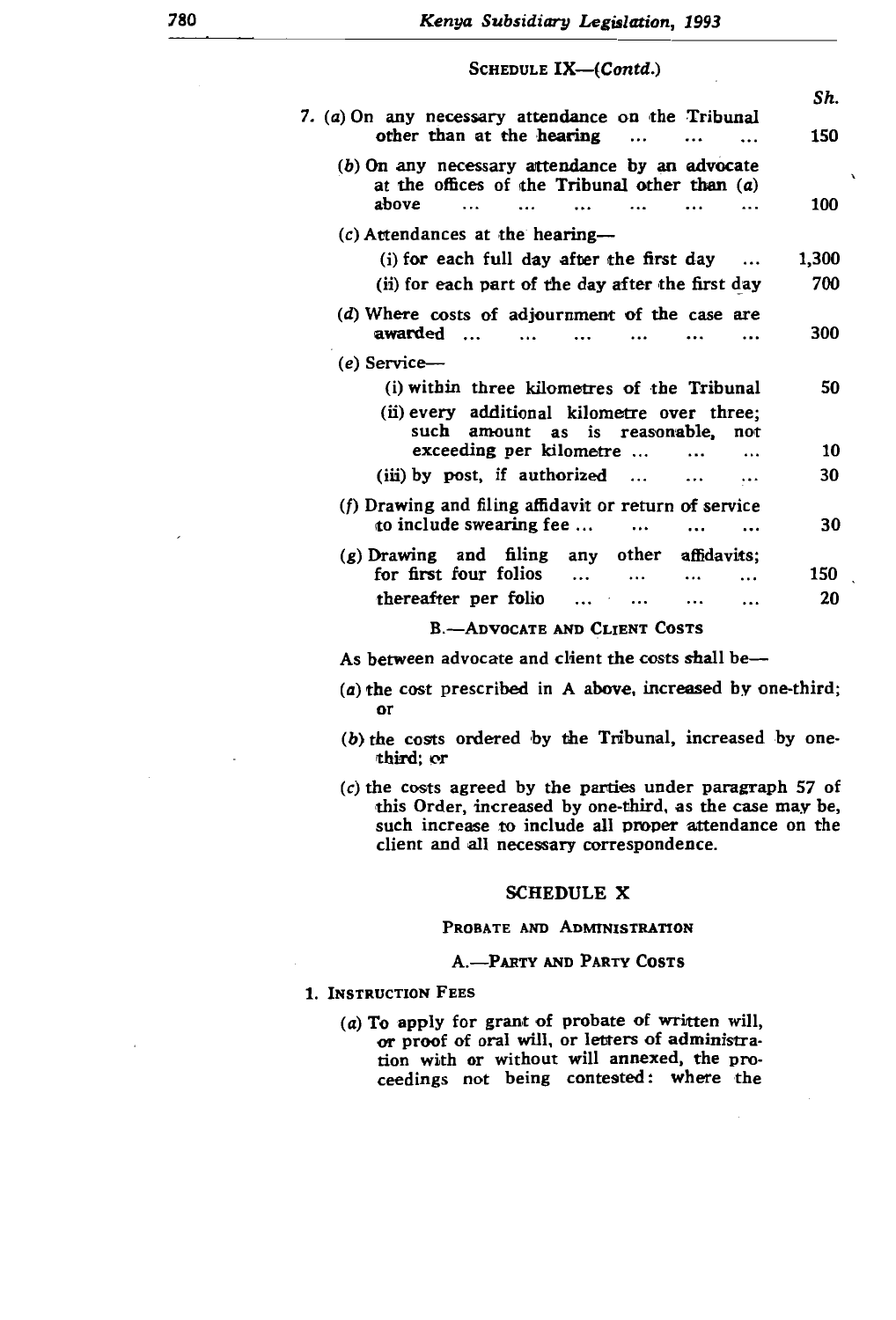| SCHEDULE IX-(Contd.)                                                                                         |                |
|--------------------------------------------------------------------------------------------------------------|----------------|
|                                                                                                              | Sh.            |
| 7. (a) On any necessary attendance on the Tribunal<br>other than at the hearing                              | 150            |
| $(b)$ On any necessary attendance by an advocate<br>at the offices of the Tribunal other than $(a)$<br>ahove | $\cdot$<br>100 |
| $(c)$ Attendances at the hearing---                                                                          |                |
| (i) for each full day after the first day                                                                    | 1,300          |
| (ii) for each part of the day after the first day                                                            | 700            |
| (d) Where costs of adjournment of the case are<br>awarded                                                    | 300            |
| $(e)$ Service—                                                                                               |                |
| (i) within three kilometres of the Tribunal                                                                  | 50             |
| (ii) every additional kilometre over three;<br>such amount as is reasonable, not<br>exceeding per kilometre  | 10             |
| $(iii)$ by post, if authorized $\dots$                                                                       | 30             |
| (f) Drawing and filing affidavit or return of service<br>to include swearing fee                             | 30             |
| $(g)$ Drawing and filing<br>any other<br>affidavits:                                                         |                |
| for first four folios<br>$\cdots$                                                                            | 150            |
| thereafter per folio<br>$\cdots$<br><br>$\cdots$                                                             | 20             |
| <b>B.--ADVOCATE AND CLIENT COSTS</b>                                                                         |                |
| As between advocate and client the costs shall be—                                                           |                |

- $(a)$  the cost prescribed in A above, increased by one-third; or
- $(b)$  the costs ordered by the Tribunal, increased by onethird; or
- $(c)$  the costs agreed by the parties under paragraph 57 of this Order, increased by one-third, as the case may be, such increase to include all proper attendance on the  $\frac{1}{2}$  To  $\frac{1}{2}$  To  $\frac{1}{2}$  and all necessary correspondence. or processing correspondence.

#### tion with or without will annexed. the proschedule x

#### PROBATE AND ADMINISTRATION

#### A.-PARTY AND PARTY COSTS

#### 1. INSTRUCTION FEES

(a) To apply for grant of probate of written will, or proof of oral will, or letters of administration with or without will annexed, the proceedings not being contested: where the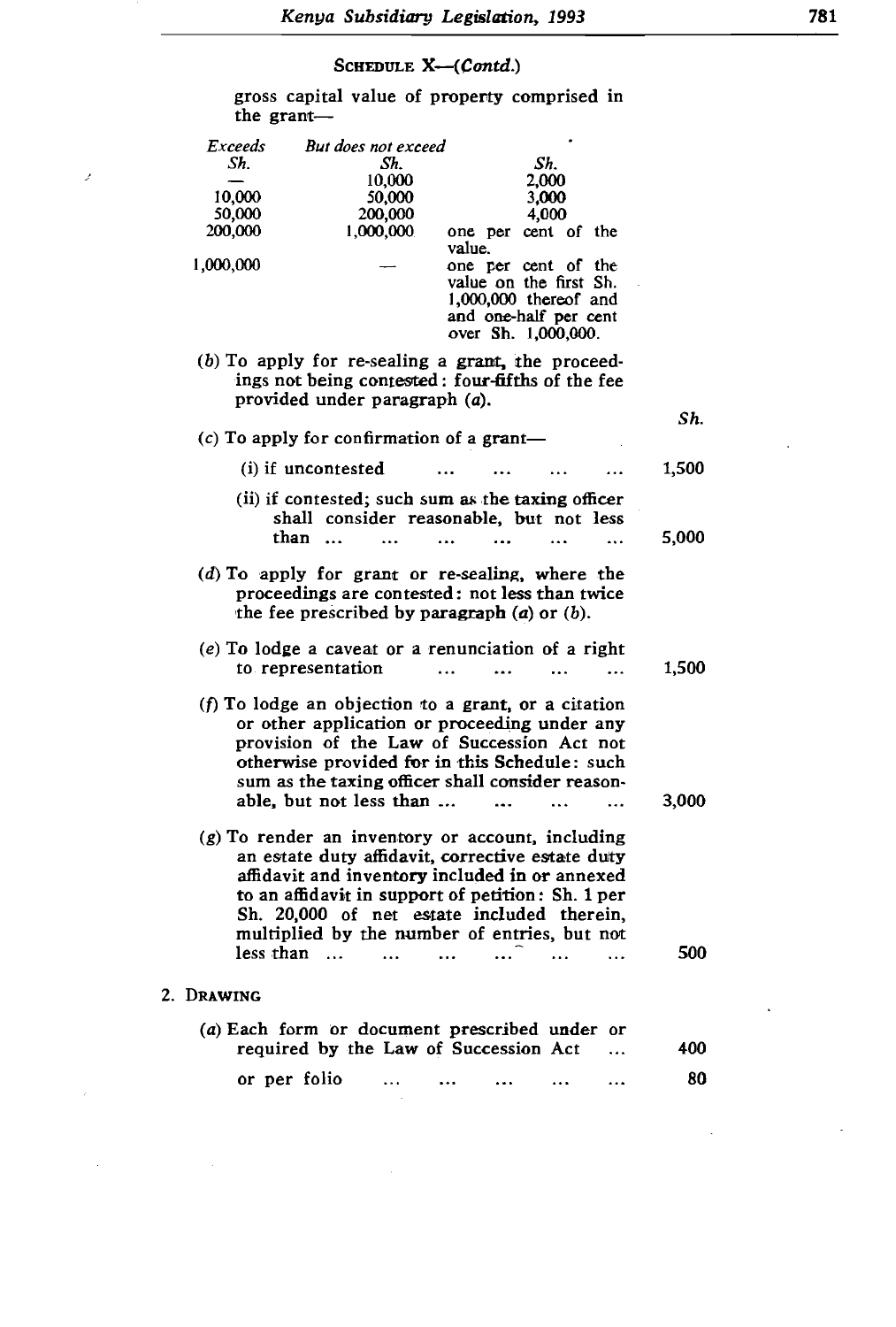4,000

#### 1,000,000 one per value.

one per cent of the comprised in 1,000,000

 $\mathcal{P}$ 

| Exceeds<br>Sh. |                                                                                                                                                                                                                                                                                                             | But does not exceed<br>Sh. |                                   | Sh.                                                                                                                      |                |       |  |
|----------------|-------------------------------------------------------------------------------------------------------------------------------------------------------------------------------------------------------------------------------------------------------------------------------------------------------------|----------------------------|-----------------------------------|--------------------------------------------------------------------------------------------------------------------------|----------------|-------|--|
|                |                                                                                                                                                                                                                                                                                                             | 10,000                     |                                   | 2.000                                                                                                                    |                |       |  |
| 10.000         |                                                                                                                                                                                                                                                                                                             | 50,000                     |                                   | 3,000                                                                                                                    |                |       |  |
| 50.000         |                                                                                                                                                                                                                                                                                                             | 200,000                    |                                   | 4,000                                                                                                                    |                |       |  |
| 200,000        |                                                                                                                                                                                                                                                                                                             | 1,000,000                  | value.                            | one per cent of the                                                                                                      |                |       |  |
| 1,000,000      |                                                                                                                                                                                                                                                                                                             |                            |                                   | one per cent of the<br>value on the first Sh.<br>$1,000,000$ thereof and<br>and one-half per cent<br>over Sh. 1,000,000. |                |       |  |
|                | (b) To apply for re-sealing a grant, the proceed-<br>ings not being contested: four-fifths of the fee<br>provided under paragraph (a).                                                                                                                                                                      |                            |                                   |                                                                                                                          |                | Sh.   |  |
|                | (c) To apply for confirmation of a grant-                                                                                                                                                                                                                                                                   |                            |                                   |                                                                                                                          |                |       |  |
|                | (i) if uncontested                                                                                                                                                                                                                                                                                          |                            |                                   |                                                                                                                          | .              | 1,500 |  |
|                | (ii) if contested; such sum as the taxing officer<br>shall consider reasonable, but not less<br>than                                                                                                                                                                                                        | $\mathbf{r}$               | $\ddot{\phantom{a}}$<br>$\ddotsc$ | $\overline{a}$                                                                                                           |                | 5,000 |  |
|                | $(d)$ To apply for grant or re-sealing, where the<br>proceedings are contested: not less than twice<br>the fee prescribed by paragraph $(a)$ or $(b)$ .                                                                                                                                                     |                            |                                   |                                                                                                                          |                |       |  |
|                | $(e)$ To lodge a caveat or a renunciation of a right<br>to representation                                                                                                                                                                                                                                   |                            | $\ddot{\phantom{a}}$<br>$\ddotsc$ |                                                                                                                          | $\sim$ $\sim$  | 1,500 |  |
|                | (f) To lodge an objection to a grant, or a citation<br>or other application or proceeding under any<br>provision of the Law of Succession Act not<br>otherwise provided for in this Schedule: such<br>sum as the taxing officer shall consider reason-<br>able, but not less than                           |                            | $\ddotsc$                         |                                                                                                                          | .              | 3,000 |  |
|                | $(g)$ To render an inventory or account, including<br>an estate duty affidavit, corrective estate duty<br>affidavit and inventory included in or annexed<br>to an affidavit in support of petition: Sh. 1 per<br>Sh. 20,000 of net estate included therein,<br>multiplied by the number of entries, but not |                            |                                   |                                                                                                                          |                |       |  |
| less than      | $\sim$                                                                                                                                                                                                                                                                                                      | $\ddotsc$                  | $\ddotsc$                         |                                                                                                                          | $\ddotsc$      | 500   |  |
| 2. DRAWING     |                                                                                                                                                                                                                                                                                                             |                            |                                   |                                                                                                                          |                |       |  |
|                | (a) Each form or document prescribed under or<br>required by the Law of Succession Act                                                                                                                                                                                                                      |                            |                                   |                                                                                                                          |                | 400   |  |
|                | or per folio                                                                                                                                                                                                                                                                                                |                            |                                   | $\ddotsc$                                                                                                                | $\overline{a}$ | 80    |  |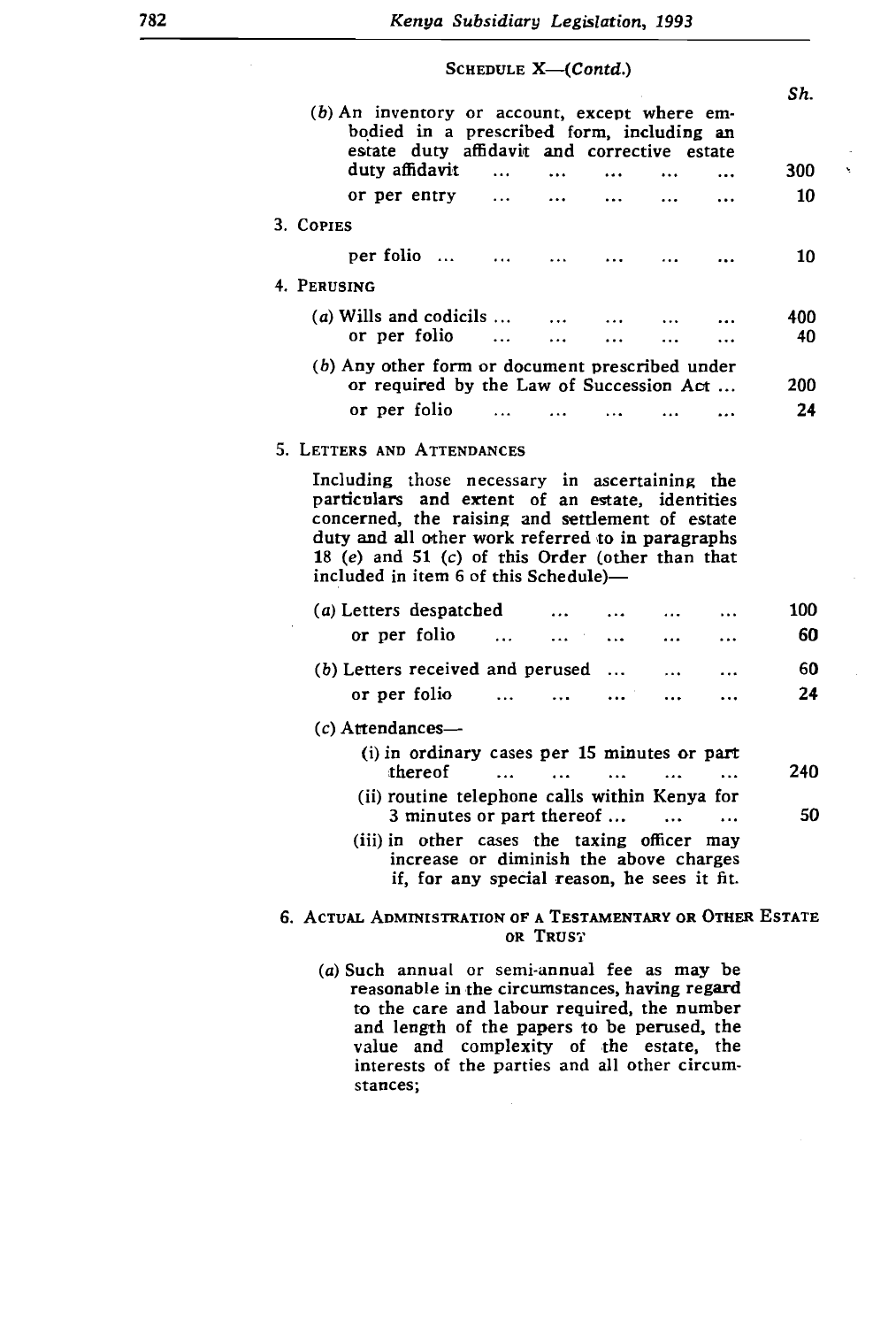3. COPIES - COPIES - COPIES - COPIES - COPIES - COPIES - COPIES - COPIES - COPIES - COPIES - COPIES - COPIES -<br>2. COPIES - COPIES - COPIES - COPIES - COPIES - COPIES - COPIES - COPIES - COPIES - COPIES - COPIES - COPIES -

|                                                                                                                                                                                                                                                                                                       |                      | SCHEDULE $X \rightarrow$ ( <i>Contd.</i> ) |                |                |                      |      |   |
|-------------------------------------------------------------------------------------------------------------------------------------------------------------------------------------------------------------------------------------------------------------------------------------------------------|----------------------|--------------------------------------------|----------------|----------------|----------------------|------|---|
|                                                                                                                                                                                                                                                                                                       |                      |                                            |                |                |                      | Sh.  |   |
| $(b)$ An inventory or account, except where em-<br>bodied in a prescribed form, including an<br>estate duty affidavit and corrective estate                                                                                                                                                           |                      |                                            |                |                |                      |      |   |
| duty affidavit                                                                                                                                                                                                                                                                                        | $\ddotsc$            | $\cdots$                                   | $\cdots$       |                |                      | 300. | ¥ |
| or per entry                                                                                                                                                                                                                                                                                          | $\ddotsc$            | $\cdots$                                   |                |                |                      | 10   |   |
| 3. COPIES                                                                                                                                                                                                                                                                                             |                      |                                            |                |                |                      |      |   |
| per folio                                                                                                                                                                                                                                                                                             | $\mathbf{r}$         | $\cdots$                                   |                |                |                      | 10   |   |
| 4. PERUSING                                                                                                                                                                                                                                                                                           |                      |                                            |                |                |                      |      |   |
| ( <i>a</i> ) Wills and codicils $\dots$                                                                                                                                                                                                                                                               |                      |                                            |                |                |                      | 400  |   |
| or per folio                                                                                                                                                                                                                                                                                          | $\dddotsc$           | $\ddotsc$                                  |                |                |                      | 40   |   |
| (b) Any other form or document prescribed under                                                                                                                                                                                                                                                       |                      |                                            |                |                |                      |      |   |
| or required by the Law of Succession Act                                                                                                                                                                                                                                                              |                      |                                            |                |                |                      | 200  |   |
| or per folio                                                                                                                                                                                                                                                                                          | $\ddotsc$            |                                            |                |                |                      | 24   |   |
| 5. LETTERS AND ATTENDANCES                                                                                                                                                                                                                                                                            |                      |                                            |                |                |                      |      |   |
| Including those necessary in ascertaining the<br>particulars and extent of an estate, identities<br>concerned, the raising and settlement of estate<br>duty and all other work referred to in paragraphs<br>18 (e) and 51 (c) of this Order (other than that<br>included in item 6 of this Schedule)- |                      |                                            |                |                |                      |      |   |
| (a) Letters despatched                                                                                                                                                                                                                                                                                |                      | $\cdots$                                   |                |                |                      | 100  |   |
| or per folio                                                                                                                                                                                                                                                                                          | $\cdots$             |                                            |                |                |                      | 60   |   |
| $(b)$ Letters received and perused                                                                                                                                                                                                                                                                    |                      |                                            |                |                |                      | 60   |   |
| or per folio                                                                                                                                                                                                                                                                                          | $\ddotsc$            |                                            | $\ddotsc$      |                |                      | 24   |   |
| (c) Attendances—                                                                                                                                                                                                                                                                                      |                      |                                            |                |                |                      |      |   |
| (i) in ordinary cases per 15 minutes or part                                                                                                                                                                                                                                                          |                      |                                            |                |                |                      |      |   |
| thereof                                                                                                                                                                                                                                                                                               | $\ddot{\phantom{0}}$ | $\ddotsc$                                  | $\overline{a}$ | $\overline{a}$ | $\ddot{\phantom{a}}$ | 240  |   |
| (ii) routine telephone calls within Kenya for<br>3 minutes or part thereof                                                                                                                                                                                                                            |                      |                                            |                | $\cdots$       | $\cdots$             | 50   |   |
| (iii) in other cases the taxing officer may<br>increase or diminish the above charges<br>if, for any special reason, he sees it fit.                                                                                                                                                                  |                      |                                            |                |                |                      |      |   |
| 6. ACTUAL ADMINISTRATION OF A TESTAMENTARY OR OTHER ESTATE                                                                                                                                                                                                                                            |                      | OR TRUST                                   |                |                |                      |      |   |

(a) Such annual or semi-annual fee as may be reasonable in the circumstances, having regard<br>to the care and labour required, the number and length of the papers to be perused, the value and complexity of the estate, the interests of the parties and all other circumstances;